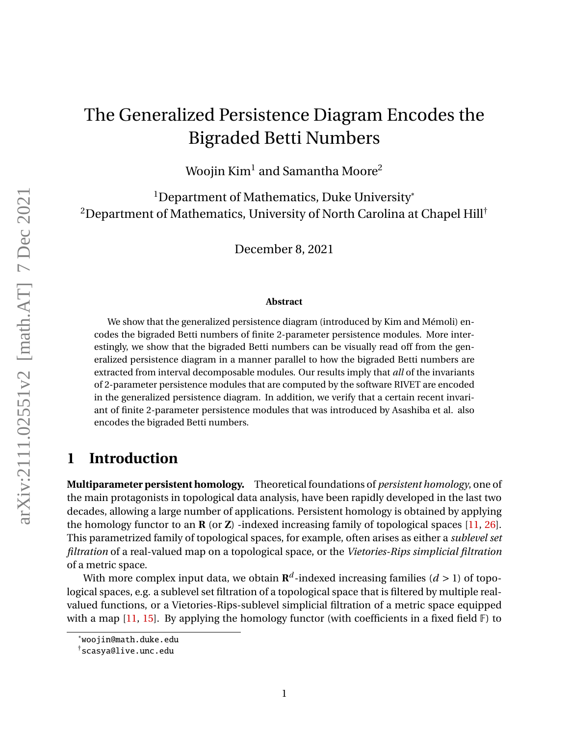# <span id="page-0-0"></span>The Generalized Persistence Diagram Encodes the Bigraded Betti Numbers

Woojin  $\mathrm{Kim}^1$  and Samantha Moore $^2$ 

<sup>1</sup>Department of Mathematics, Duke University<sup>\*</sup> <sup>2</sup>Department of Mathematics, University of North Carolina at Chapel Hill<sup>†</sup>

December 8, 2021

#### **Abstract**

We show that the generalized persistence diagram (introduced by Kim and Mémoli) encodes the bigraded Betti numbers of finite 2-parameter persistence modules. More interestingly, we show that the bigraded Betti numbers can be visually read off from the generalized persistence diagram in a manner parallel to how the bigraded Betti numbers are extracted from interval decomposable modules. Our results imply that *all* of the invariants of 2-parameter persistence modules that are computed by the software RIVET are encoded in the generalized persistence diagram. In addition, we verify that a certain recent invariant of finite 2-parameter persistence modules that was introduced by Asashiba et al. also encodes the bigraded Betti numbers.

## **1 Introduction**

**Multiparameter persistent homology.** Theoretical foundations of *persistent homology*, one of the main protagonists in topological data analysis, have been rapidly developed in the last two decades, allowing a large number of applications. Persistent homology is obtained by applying the homology functor to an **R** (or **Z**) -indexed increasing family of topological spaces [\[11,](#page-17-0) [26\]](#page-18-0). This parametrized family of topological spaces, for example, often arises as either a *sublevel set filtration* of a real-valued map on a topological space, or the *Vietories-Rips simplicial filtration* of a metric space.

With more complex input data, we obtain  $\mathbf{R}^d$ -indexed increasing families ( $d>1$ ) of topological spaces, e.g. a sublevel set filtration of a topological space that is filtered by multiple realvalued functions, or a Vietories-Rips-sublevel simplicial filtration of a metric space equipped with a map [\[11,](#page-17-0) [15\]](#page-17-1). By applying the homology functor (with coefficients in a fixed field  $\mathbb{F}$ ) to

<sup>\*</sup>woojin@math.duke.edu

 $^\dagger$ scasya@live.unc.edu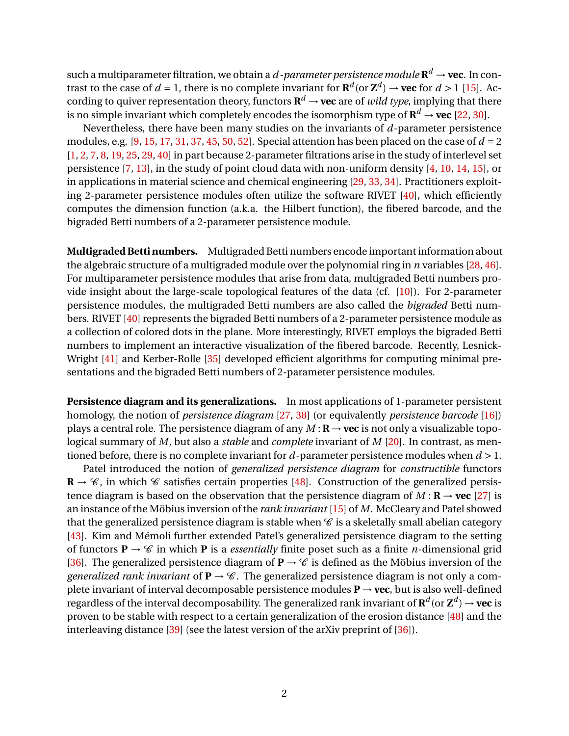such a multiparameter filtration, we obtain a *d -parameter persistence module*  $\mathbf{R}^d \to \mathbf{vec}.$  In contrast to the case of  $d = 1$ , there is no complete invariant for  $\mathbf{R}^d$  (or  $\mathbf{Z}^d$ )  $\rightarrow$  **vec** for  $d > 1$  [\[15\]](#page-17-1). According to quiver representation theory, functors  $\mathbf{R}^d \to \mathbf{vec}$  are of *wild type*, implying that there is no simple invariant which completely encodes the isomorphism type of  $\mathbf{R}^d \to \mathbf{vec}$  [\[22,](#page-18-1) [30\]](#page-18-2).

Nevertheless, there have been many studies on the invariants of *d*-parameter persistence modules, e.g.  $[9, 15, 17, 31, 37, 45, 50, 52]$  $[9, 15, 17, 31, 37, 45, 50, 52]$  $[9, 15, 17, 31, 37, 45, 50, 52]$  $[9, 15, 17, 31, 37, 45, 50, 52]$  $[9, 15, 17, 31, 37, 45, 50, 52]$  $[9, 15, 17, 31, 37, 45, 50, 52]$  $[9, 15, 17, 31, 37, 45, 50, 52]$  $[9, 15, 17, 31, 37, 45, 50, 52]$  $[9, 15, 17, 31, 37, 45, 50, 52]$  $[9, 15, 17, 31, 37, 45, 50, 52]$  $[9, 15, 17, 31, 37, 45, 50, 52]$  $[9, 15, 17, 31, 37, 45, 50, 52]$  $[9, 15, 17, 31, 37, 45, 50, 52]$  $[9, 15, 17, 31, 37, 45, 50, 52]$  $[9, 15, 17, 31, 37, 45, 50, 52]$ . Special attention has been placed on the case of  $d = 2$ [\[1,](#page-16-0) [2,](#page-16-1) [7,](#page-17-4) [8,](#page-17-5) [19,](#page-18-4) [25,](#page-18-5) [29,](#page-18-6) [40\]](#page-19-2) in part because 2-parameter filtrations arise in the study of interlevel set persistence [\[7,](#page-17-4) [13\]](#page-17-6), in the study of point cloud data with non-uniform density [\[4,](#page-17-7) [10,](#page-17-8) [14,](#page-17-9) [15\]](#page-17-1), or in applications in material science and chemical engineering [\[29,](#page-18-6) [33,](#page-18-7) [34\]](#page-19-3). Practitioners exploiting 2-parameter persistence modules often utilize the software RIVET [\[40\]](#page-19-2), which efficiently computes the dimension function (a.k.a. the Hilbert function), the fibered barcode, and the bigraded Betti numbers of a 2-parameter persistence module.

**Multigraded Betti numbers.** Multigraded Betti numbers encode important information about the algebraic structure of a multigraded module over the polynomial ring in *n* variables [\[28,](#page-18-8) [46\]](#page-19-4). For multiparameter persistence modules that arise from data, multigraded Betti numbers provide insight about the large-scale topological features of the data (cf. [\[10\]](#page-17-8)). For 2-parameter persistence modules, the multigraded Betti numbers are also called the *bigraded* Betti numbers. RIVET [\[40\]](#page-19-2) represents the bigraded Betti numbers of a 2-parameter persistence module as a collection of colored dots in the plane. More interestingly, RIVET employs the bigraded Betti numbers to implement an interactive visualization of the fibered barcode. Recently, Lesnick-Wright [\[41\]](#page-19-5) and Kerber-Rolle [\[35\]](#page-19-6) developed efficient algorithms for computing minimal presentations and the bigraded Betti numbers of 2-parameter persistence modules.

**Persistence diagram and its generalizations.** In most applications of 1-parameter persistent homology, the notion of *persistence diagram* [\[27,](#page-18-9) [38\]](#page-19-7) (or equivalently *persistence barcode* [\[16\]](#page-17-10)) plays a central role. The persistence diagram of any  $M : \mathbf{R} \to \textbf{vec}$  is not only a visualizable topological summary of *M*, but also a *stable* and *complete* invariant of *M* [\[20\]](#page-18-10). In contrast, as mentioned before, there is no complete invariant for *d*-parameter persistence modules when *d* > 1.

Patel introduced the notion of *generalized persistence diagram* for *constructible* functors  $\mathbb{R} \to \mathscr{C}$ , in which  $\mathscr{C}$  satisfies certain properties [\[48\]](#page-19-8). Construction of the generalized persistence diagram is based on the observation that the persistence diagram of  $M : \mathbf{R} \to \textbf{vec}$  [\[27\]](#page-18-9) is an instance of the Möbius inversion of the *rank invariant* [\[15\]](#page-17-1) of *M*. McCleary and Patel showed that the generalized persistence diagram is stable when  $\mathscr C$  is a skeletally small abelian category [\[43\]](#page-19-9). Kim and Mémoli further extended Patel's generalized persistence diagram to the setting of functors  $P \rightarrow \mathcal{C}$  in which P is a *essentially* finite poset such as a finite *n*-dimensional grid [\[36\]](#page-19-10). The generalized persistence diagram of  $P \rightarrow \mathcal{C}$  is defined as the Möbius inversion of the *generalized rank invariant* of  $P \rightarrow \mathcal{C}$ . The generalized persistence diagram is not only a complete invariant of interval decomposable persistence modules  $P \rightarrow vec$ , but is also well-defined regardless of the interval decomposability. The generalized rank invariant of  $\mathbf{R}^d$  (or  $\mathbf{Z}^d$ )  $\rightarrow$  **vec** is proven to be stable with respect to a certain generalization of the erosion distance [\[48\]](#page-19-8) and the interleaving distance [\[39\]](#page-19-11) (see the latest version of the arXiv preprint of [\[36\]](#page-19-10)).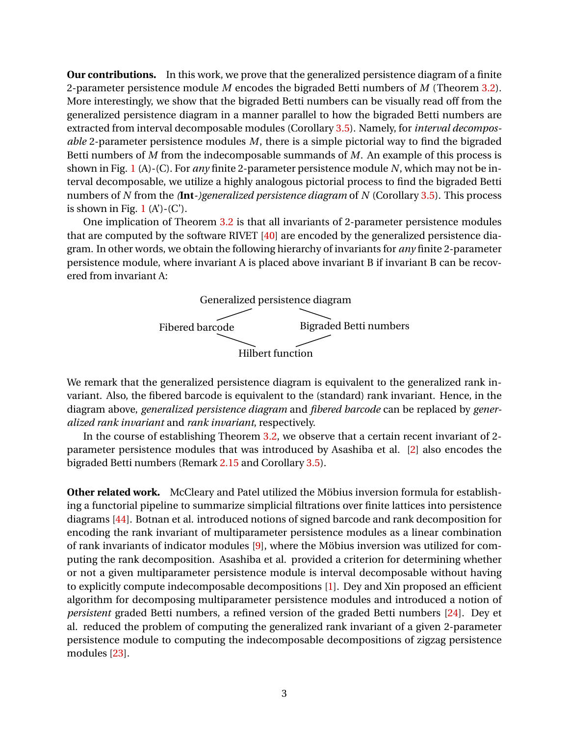**Our contributions.** In this work, we prove that the generalized persistence diagram of a finite 2-parameter persistence module *M* encodes the bigraded Betti numbers of *M* (Theorem [3.2\)](#page-11-0). More interestingly, we show that the bigraded Betti numbers can be visually read off from the generalized persistence diagram in a manner parallel to how the bigraded Betti numbers are extracted from interval decomposable modules (Corollary [3.5\)](#page-12-0). Namely, for *interval decomposable* 2-parameter persistence modules *M*, there is a simple pictorial way to find the bigraded Betti numbers of *M* from the indecomposable summands of *M*. An example of this process is shown in Fig. [1](#page-3-0) (A)-(C). For *any* finite 2-parameter persistence module *N*, which may not be interval decomposable, we utilize a highly analogous pictorial process to find the bigraded Betti numbers of *N* from the *(***Int***-)generalized persistence diagram* of *N* (Corollary [3.5\)](#page-12-0). This process is shown in Fig. [1](#page-3-0)  $(A')-(C')$ .

One implication of Theorem [3.2](#page-11-0) is that all invariants of 2-parameter persistence modules that are computed by the software RIVET [\[40\]](#page-19-2) are encoded by the generalized persistence diagram. In other words, we obtain the following hierarchy of invariants for *any* finite 2-parameter persistence module, where invariant A is placed above invariant B if invariant B can be recovered from invariant A:



We remark that the generalized persistence diagram is equivalent to the generalized rank invariant. Also, the fibered barcode is equivalent to the (standard) rank invariant. Hence, in the diagram above, *generalized persistence diagram* and *fibered barcode* can be replaced by *generalized rank invariant* and *rank invariant*, respectively.

In the course of establishing Theorem [3.2,](#page-11-0) we observe that a certain recent invariant of 2 parameter persistence modules that was introduced by Asashiba et al. [\[2\]](#page-16-1) also encodes the bigraded Betti numbers (Remark [2.15](#page-9-0) and Corollary [3.5\)](#page-12-0).

**Other related work.** McCleary and Patel utilized the Möbius inversion formula for establishing a functorial pipeline to summarize simplicial filtrations over finite lattices into persistence diagrams [\[44\]](#page-19-12). Botnan et al. introduced notions of signed barcode and rank decomposition for encoding the rank invariant of multiparameter persistence modules as a linear combination of rank invariants of indicator modules [\[9\]](#page-17-2), where the Möbius inversion was utilized for computing the rank decomposition. Asashiba et al. provided a criterion for determining whether or not a given multiparameter persistence module is interval decomposable without having to explicitly compute indecomposable decompositions [\[1\]](#page-16-0). Dey and Xin proposed an efficient algorithm for decomposing multiparameter persistence modules and introduced a notion of *persistent* graded Betti numbers, a refined version of the graded Betti numbers [\[24\]](#page-18-11). Dey et al. reduced the problem of computing the generalized rank invariant of a given 2-parameter persistence module to computing the indecomposable decompositions of zigzag persistence modules [\[23\]](#page-18-12).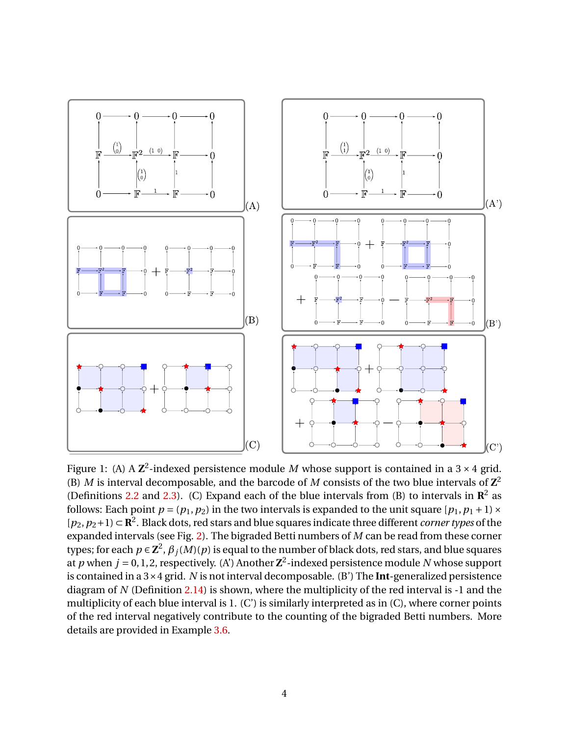<span id="page-3-0"></span>

Figure 1: (A) A  $\mathbb{Z}^2$ -indexed persistence module M whose support is contained in a 3  $\times$  4 grid. (B) *M* is interval decomposable, and the barcode of *M* consists of the two blue intervals of  $\mathbb{Z}^2$ (Definitions [2.2](#page-5-0) and [2.3\)](#page-5-1). (C) Expand each of the blue intervals from (B) to intervals in  $\mathbb{R}^2$  as follows: Each point  $p = (p_1, p_2)$  in the two intervals is expanded to the unit square  $[p_1, p_1 + 1] \times$ [*p*2,*p*2+1) ⊂ **R** 2 . Black dots, red stars and blue squares indicate three different *corner types* of the expanded intervals (see Fig. [2\)](#page-7-0). The bigraded Betti numbers of *M* can be read from these corner types; for each  $p \in {\bf Z}^2$ ,  $\beta_j(M)(p)$  is equal to the number of black dots, red stars, and blue squares at *p* when  $j = 0, 1, 2$ , respectively. (A') Another  $\mathbb{Z}^2$ -indexed persistence module *N* whose support is contained in a 3×4 grid. *N* is not interval decomposable. (B') The **Int**-generalized persistence diagram of *N* (Definition [2.14\)](#page-9-1) is shown, where the multiplicity of the red interval is -1 and the multiplicity of each blue interval is 1. (C') is similarly interpreted as in (C), where corner points of the red interval negatively contribute to the counting of the bigraded Betti numbers. More details are provided in Example [3.6.](#page-12-1)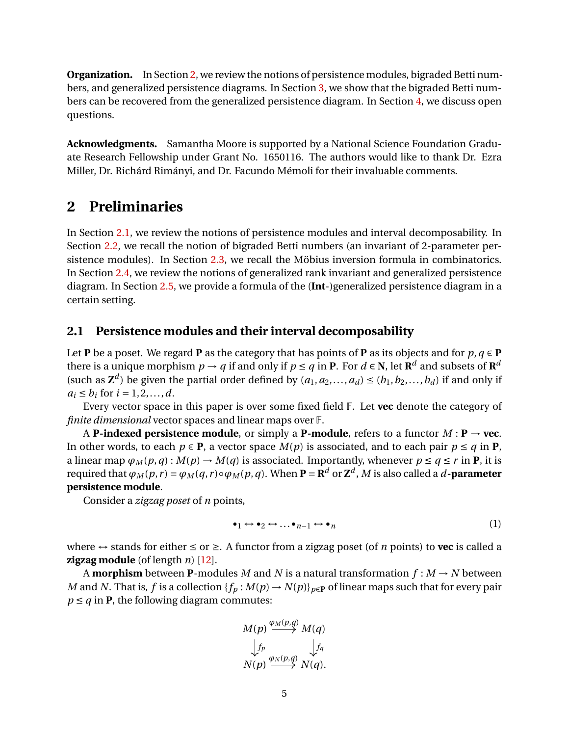**Organization.** In Section [2,](#page-4-0) we review the notions of persistence modules, bigraded Betti numbers, and generalized persistence diagrams. In Section [3,](#page-11-1) we show that the bigraded Betti numbers can be recovered from the generalized persistence diagram. In Section [4,](#page-16-2) we discuss open questions.

**Acknowledgments.** Samantha Moore is supported by a National Science Foundation Graduate Research Fellowship under Grant No. 1650116. The authors would like to thank Dr. Ezra Miller, Dr. Richárd Rimányi, and Dr. Facundo Mémoli for their invaluable comments.

## <span id="page-4-0"></span>**2 Preliminaries**

In Section [2.1,](#page-4-1) we review the notions of persistence modules and interval decomposability. In Section [2.2,](#page-5-2) we recall the notion of bigraded Betti numbers (an invariant of 2-parameter persistence modules). In Section [2.3,](#page-7-1) we recall the Möbius inversion formula in combinatorics. In Section [2.4,](#page-7-2) we review the notions of generalized rank invariant and generalized persistence diagram. In Section [2.5,](#page-10-0) we provide a formula of the (**Int**-)generalized persistence diagram in a certain setting.

#### <span id="page-4-1"></span>**2.1 Persistence modules and their interval decomposability**

Let **P** be a poset. We regard **P** as the category that has points of **P** as its objects and for  $p, q \in \mathbf{P}$ there is a unique morphism  $p \to q$  if and only if  $p \le q$  in  $\mathbf{P}$ . For  $d \in \mathbf{N}$ , let  $\mathbf{R}^d$  and subsets of  $\mathbf{R}^d$ (such as  $\mathbf{Z}^d$ ) be given the partial order defined by  $(a_1, a_2,..., a_d) \le (b_1, b_2,..., b_d)$  if and only if  $a_i \le b_i$  for  $i = 1, 2, ..., d$ .

Every vector space in this paper is over some fixed field F. Let **vec** denote the category of *finite dimensional* vector spaces and linear maps over F.

A **P-indexed persistence module**, or simply a **P-module**, refers to a functor  $M : \mathbf{P} \to \textbf{vec}$ . In other words, to each  $p \in \mathbf{P}$ , a vector space  $M(p)$  is associated, and to each pair  $p \leq q$  in  $\mathbf{P}$ , a linear map  $\varphi_M(p,q): M(p) \to M(q)$  is associated. Importantly, whenever  $p \leq q \leq r$  in **P**, it is required that  $\varphi_M(p,r)=\varphi_M(q,r)\circ \varphi_M(p,q).$  When  ${\bf P}={\bf R}^d$  or  ${\bf Z}^d$  ,  $M$  is also called a  $d$  -parameter **persistence module**.

Consider a *zigzag poset* of *n* points,

<span id="page-4-2"></span>
$$
\bullet_1 \leftrightarrow \bullet_2 \leftrightarrow \dots \bullet_{n-1} \leftrightarrow \bullet_n \tag{1}
$$

where ↔ stands for either ≤ or ≥. A functor from a zigzag poset (of *n* points) to **vec** is called a **zigzag module** (of length *n*) [\[12\]](#page-17-11).

A **morphism** between **P**-modules *M* and *N* is a natural transformation  $f : M \to N$  between *M* and *N*. That is, *f* is a collection { $f_p$  :  $M(p) \to N(p)$ } $_{p \in P}$  of linear maps such that for every pair  $p \leq q$  in **P**, the following diagram commutes:

$$
M(p) \xrightarrow{\varphi_M(p,q)} M(q)
$$
  
\n
$$
\downarrow f_p
$$
  
\n
$$
N(p) \xrightarrow{\varphi_N(p,q)} N(q).
$$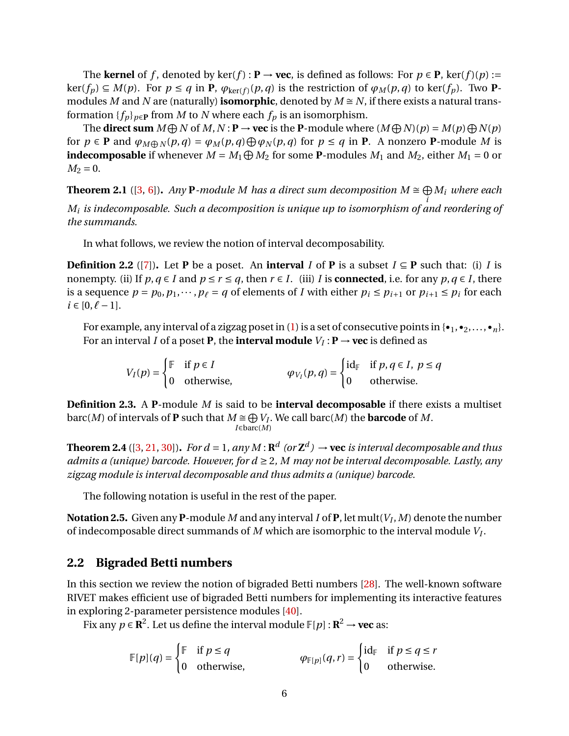The **kernel** of *f*, denoted by  $\ker(f) : \mathbf{P} \to \textbf{vec}$ , is defined as follows: For  $p \in \mathbf{P}$ ,  $\ker(f)(p) :=$  $ker(f_p) \subseteq M(p)$ . For  $p \le q$  in **P**,  $\varphi_{\ker(f)}(p,q)$  is the restriction of  $\varphi_M(p,q)$  to ker( $f_p$ ). Two **P**modules *M* and *N* are (naturally) **isomorphic**, denoted by  $M \cong N$ , if there exists a natural transformation  ${f_p}_{p \in P}$  from *M* to *N* where each  $f_p$  is an isomorphism.

The **direct sum**  $M \oplus N$  of  $M, N : \mathbf{P} \to \textbf{vec}$  is the **P**-module where  $(M \oplus N)(p) = M(p) \oplus N(p)$ for  $p \in \mathbf{P}$  and  $\varphi_{M \oplus N}(p,q) = \varphi_M(p,q) \oplus \varphi_N(p,q)$  for  $p \leq q$  in **P**. A nonzero **P**-module M is **indecomposable** if whenever  $M = M_1 \bigoplus M_2$  for some **P**-modules  $M_1$  and  $M_2$ , either  $M_1 = 0$  or  $M_2 = 0$ .

**Theorem 2.1** ([\[3,](#page-16-3) [6\]](#page-17-12)). Any **P**-module M has a direct sum decomposition  $M \cong \bigoplus M_i$  where each *i M<sup>i</sup> is indecomposable. Such a decomposition is unique up to isomorphism of and reordering of the summands.*

<span id="page-5-6"></span>In what follows, we review the notion of interval decomposability.

<span id="page-5-0"></span>**Definition 2.2** ([\[7\]](#page-17-4)). Let **P** be a poset. An **interval** *I* of **P** is a subset  $I \subseteq \mathbf{P}$  such that: (i) *I* is nonempty. (ii) If  $p, q \in I$  and  $p \le r \le q$ , then  $r \in I$ . (iii) *I* is **connected**, i.e. for any  $p, q \in I$ , there is a sequence  $p = p_0, p_1, \dots, p_\ell = q$  of elements of *I* with either  $p_i \leq p_{i+1}$  or  $p_{i+1} \leq p_i$  for each *i* ∈ [0,  $\ell$  − 1].

For example, any interval of a zigzag poset in [\(1\)](#page-4-2) is a set of consecutive points in  $\{\bullet_1, \bullet_2, ..., \bullet_n\}$ . For an interval *I* of a poset **P**, the **interval module**  $V_I: \mathbf{P} \to \mathbf{vec}$  is defined as

<span id="page-5-5"></span>
$$
V_I(p) = \begin{cases} \mathbb{F} & \text{if } p \in I \\ 0 & \text{otherwise,} \end{cases} \qquad \qquad \varphi_{V_I}(p,q) = \begin{cases} \text{id}_{\mathbb{F}} & \text{if } p, q \in I, \ p \le q \\ 0 & \text{otherwise.} \end{cases}
$$

<span id="page-5-1"></span>**Definition 2.3.** A **P**-module *M* is said to be **interval decomposable** if there exists a multiset barc(*M*) of intervals of **P** such that  $M \cong \bigoplus V_I$ . We call barc(*M*) the **barcode** of *M*. *I*∈barc(*M*)

<span id="page-5-4"></span>**Theorem 2.4** ([\[3,](#page-16-3) [21,](#page-18-13) [30\]](#page-18-2)). For  $d = 1$ , any  $M$  :  $\mathbf{R}^d$  (or  $\mathbf{Z}^d$ )  $\rightarrow$  **vec** is interval decomposable and thus *admits a (unique) barcode. However, for d* ≥ 2*, M may not be interval decomposable. Lastly, any zigzag module is interval decomposable and thus admits a (unique) barcode.*

The following notation is useful in the rest of the paper.

<span id="page-5-3"></span>**Notation 2.5.** Given any **P**-module *M* and any interval *I* of **P**, let mult(*V<sup>I</sup>* ,*M*) denote the number of indecomposable direct summands of *M* which are isomorphic to the interval module *V<sup>I</sup>* .

#### <span id="page-5-2"></span>**2.2 Bigraded Betti numbers**

In this section we review the notion of bigraded Betti numbers [\[28\]](#page-18-8). The well-known software RIVET makes efficient use of bigraded Betti numbers for implementing its interactive features in exploring 2-parameter persistence modules [\[40\]](#page-19-2).

Fix any  $p \in \mathbb{R}^2$ . Let us define the interval module  $\mathbb{F}[p]: \mathbb{R}^2 \to \textbf{vec}$  as:

$$
\mathbb{F}[p](q) = \begin{cases} \mathbb{F} & \text{if } p \le q \\ 0 & \text{otherwise,} \end{cases} \qquad \qquad \varphi_{\mathbb{F}[p]}(q,r) = \begin{cases} \text{id}_{\mathbb{F}} & \text{if } p \le q \le r \\ 0 & \text{otherwise.} \end{cases}
$$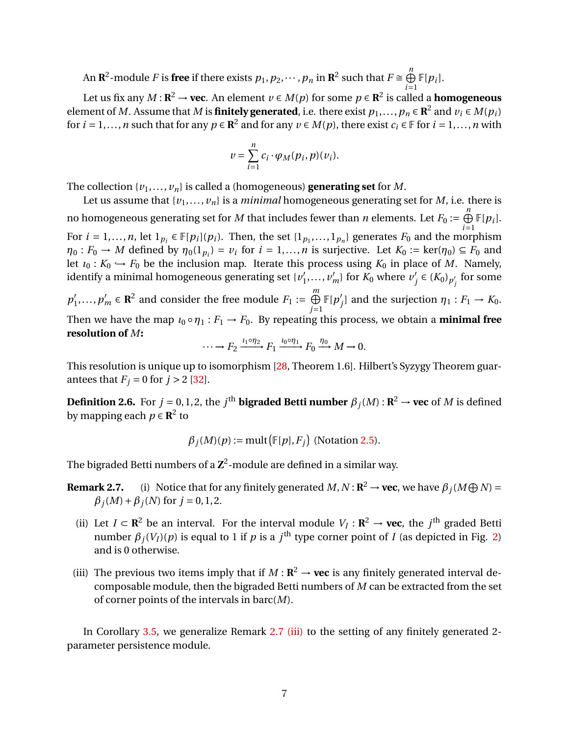An  ${\bf R}^2$ -module  $F$  is **free** if there exists  $p_1,p_2,\cdots,p_n$  in  ${\bf R}^2$  such that  $F\cong\bigoplus^n$  $\bigoplus_{i=1}$   $\mathbb{F}[p_i]$ .

Let us fix any  $M$  :  $\mathbf{R}^2$  → **vec**. An element  $\nu$  ∈  $M(p)$  for some  $p$  ∈  $\mathbf{R}^2$  is called a <code>homogeneous</code> element of *M*. Assume that *M* is **finitely generated**, i.e. there exist  $p_1, ..., p_n \in \mathbb{R}^2$  and  $v_i \in M(p_i)$ for  $i = 1, ..., n$  such that for any  $p \in \mathbb{R}^2$  and for any  $v \in M(p)$ , there exist  $c_i \in \mathbb{F}$  for  $i = 1, ..., n$  with

$$
v = \sum_{i=1}^n c_i \cdot \varphi_M(p_i, p)(v_i).
$$

The collection  $\{v_1, \ldots, v_n\}$  is called a (homogeneous) **generating set** for *M*.

Let us assume that  $\{v_1, \ldots, v_n\}$  is a *minimal* homogeneous generating set for *M*, i.e. there is no homogeneous generating set for *M* that includes fewer than *n* elements. Let  $F_0 := \bigoplus_{i=1}^n \mathbb{F}[p_i].$ For  $i = 1,...,n$ , let  $1_{p_i} \in \mathbb{F}[p_i](p_i)$ . Then, the set  $\{1_{p_1},...,1_{p_n}\}$  generates  $F_0$  and the morphism  $\eta_0: F_0 \to M$  defined by  $\eta_0(1_{p_i}) = v_i$  for  $i = 1,...,n$  is surjective. Let  $K_0 := \text{ker}(\eta_0) \subseteq F_0$  and let  $\iota_0: K_0 \hookrightarrow F_0$  be the inclusion map. Iterate this process using  $K_0$  in place of *M*. Namely, identify a minimal homogeneous generating set  $\{v_1\}$  $v'_1, \ldots, v'_m$ } for  $K_0$  where  $v'_j$  $'$ <sub>*j*</sub> ∈ ( $K_0$ )<sub>*p*'</sup><sub>*j*</sub></sub> *j* for some

 $p_1'$  $p'_1, \ldots, p'_m$  ∈ **R**<sup>2</sup> and consider the free module  $F_1 := \bigoplus_{i=1}^m F_i$ *j*=1  $\mathbb{F}[p']$ *f*<sub>*j*</sub> and the surjection  $\eta_1 : F_1 \to K_0$ . Then we have the map  $\iota_0 \circ \eta_1 : F_1 \to F_0$ . By repeating this process, we obtain a **minimal free resolution of** *M***:**

$$
\cdots \longrightarrow F_2 \xrightarrow{\iota_1 \circ \eta_2} F_1 \xrightarrow{\iota_0 \circ \eta_1} F_0 \xrightarrow{\eta_0} M \longrightarrow 0.
$$

This resolution is unique up to isomorphism [\[28,](#page-18-8) Theorem 1.6]. Hilbert's Syzygy Theorem guarantees that  $F_i = 0$  for  $j > 2$  [\[32\]](#page-18-14).

**Definition 2.6.** For  $j = 0, 1, 2$ , the  $j^{\text{th}}$  **bigraded Betti number**  $\beta_j(M)$  :  $\mathbb{R}^2 \to \textbf{vec}$  of  $M$  is defined by mapping each  $p \in \mathbb{R}^2$  to

$$
\beta_j(M)(p) := \text{mult}(\mathbb{F}[p], F_j)
$$
 (Notation 2.5).

The bigraded Betti numbers of a  $\mathbf{Z}^2$ -module are defined in a similar way.

- **Remark 2.7.** (i) Notice that for any finitely generated  $M, N: \mathbb{R}^2 \to \textbf{vec}$ , we have  $\beta_j(M \bigoplus N) =$  $\beta$ <sup>*j*</sup>(*M*) +  $\beta$ <sup>*j*</sup>(*N*) for *j* = 0, 1, 2.
	- (ii) Let *I* ⊂ **R**<sup>2</sup> be an interval. For the interval module *V<sub>I</sub>* : **R**<sup>2</sup> → **vec**, the *j*<sup>th</sup> graded Betti number  $\beta_j(V_I)(p)$  is equal to 1 if  $p$  is a  $j^{\text{th}}$  type corner point of *I* (as depicted in Fig. [2\)](#page-7-0) and is 0 otherwise.
- <span id="page-6-0"></span>(iii) The previous two items imply that if  $M : \mathbb{R}^2 \to \text{vec}$  is any finitely generated interval decomposable module, then the bigraded Betti numbers of *M* can be extracted from the set of corner points of the intervals in barc(*M*).

In Corollary [3.5,](#page-12-0) we generalize Remark [2.7](#page-0-0) [\(iii\)](#page-6-0) to the setting of any finitely generated 2parameter persistence module.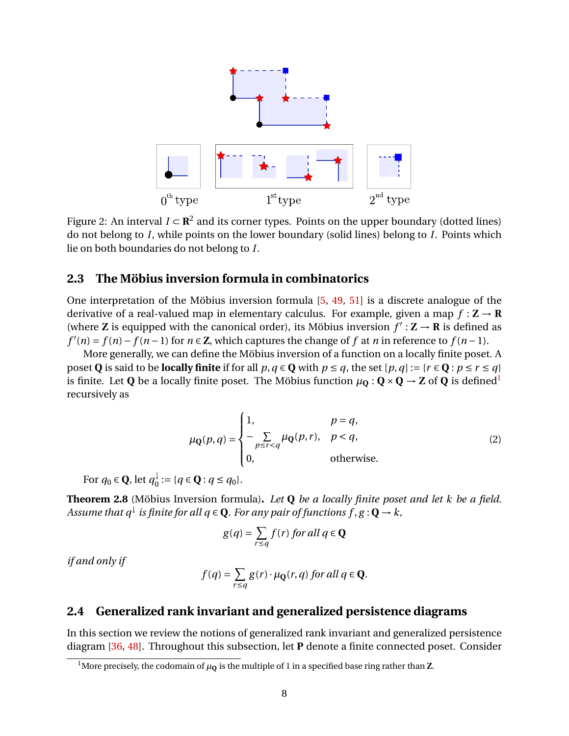<span id="page-7-0"></span>

Figure 2: An interval  $I \subset \mathbb{R}^2$  and its corner types. Points on the upper boundary (dotted lines) do not belong to *I*, while points on the lower boundary (solid lines) belong to *I*. Points which lie on both boundaries do not belong to *I*.

#### <span id="page-7-1"></span>**2.3 The Möbius inversion formula in combinatorics**

One interpretation of the Möbius inversion formula [\[5,](#page-17-13) [49,](#page-19-13) [51\]](#page-20-2) is a discrete analogue of the derivative of a real-valued map in elementary calculus. For example, given a map  $f : \mathbf{Z} \to \mathbf{R}$ (where **Z** is equipped with the canonical order), its Möbius inversion  $f' : \mathbf{Z} \to \mathbf{R}$  is defined as  $f'(n) = f(n) - f(n-1)$  for  $n \in \mathbb{Z}$ , which captures the change of *f* at *n* in reference to  $f(n-1)$ .

More generally, we can define the Möbius inversion of a function on a locally finite poset. A poset **Q** is said to be **locally finite** if for all  $p, q \in \mathbf{Q}$  with  $p \leq q$ , the set  $[p, q] := \{r \in \mathbf{Q} : p \leq r \leq q\}$ is finite. Let **Q** be a locally finite poset. The Möbius function  $\mu_0 : \mathbf{Q} \times \mathbf{Q} \to \mathbf{Z}$  of **Q** is defined<sup>[1](#page-7-3)</sup> recursively as

$$
\mu_{\mathbf{Q}}(p,q) = \begin{cases} 1, & p = q, \\ -\sum_{p \le r < q} \mu_{\mathbf{Q}}(p,r), & p < q, \\ 0, & \text{otherwise.} \end{cases} \tag{2}
$$

For  $q_0 \in \mathbf{Q}$ , let  $q_0^{\downarrow}$  $Q_0$  : = {*q* ∈ **Q** : *q* ≤ *q*<sub>0</sub>}.

<span id="page-7-4"></span>**Theorem 2.8** (Möbius Inversion formula)**.** *Let* **Q** *be a locally finite poset and let k be a field. Assume that*  $q^{\downarrow}$  *is finite for all*  $q \in \mathbf{Q}$ *. For any pair of functions f* ,  $g: \mathbf{Q} \to k$  ,

$$
g(q) = \sum_{r \le q} f(r) \text{ for all } q \in \mathbf{Q}
$$

*if and only if*

$$
f(q) = \sum_{r \le q} g(r) \cdot \mu_{\mathbf{Q}}(r, q) \text{ for all } q \in \mathbf{Q}.
$$

#### <span id="page-7-2"></span>**2.4 Generalized rank invariant and generalized persistence diagrams**

In this section we review the notions of generalized rank invariant and generalized persistence diagram [\[36,](#page-19-10) [48\]](#page-19-8). Throughout this subsection, let **P** denote a finite connected poset. Consider

<span id="page-7-3"></span><sup>&</sup>lt;sup>1</sup>More precisely, the codomain of  $\mu_{\mathbf{Q}}$  is the multiple of 1 in a specified base ring rather than **Z**.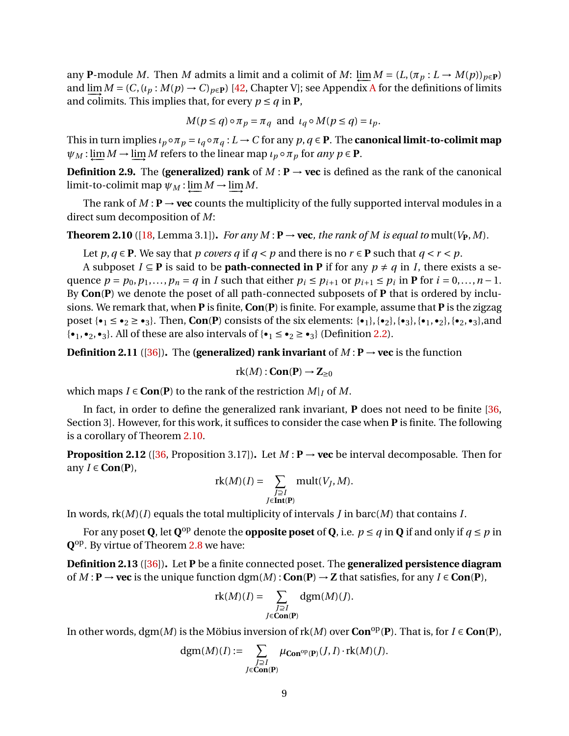any **P**-module *M*. Then *M* admits a limit and a colimit of *M*:  $\lim_{m \to \infty} M = (L, (\pi_p : L \to M(p))_{p \in \mathbf{P}})$ and  $\lim_{M} M = (C, (\iota_p : M(p) \to C)_{p \in \mathbf{P}})$  [\[42,](#page-19-14) Chapter V]; see [A](#page-20-3)ppendix A for the definitions of limits and colimits. This implies that, for every  $p \leq q$  in **P**,

$$
M(p \le q) \circ \pi_p = \pi_q
$$
 and  $\iota_q \circ M(p \le q) = \iota_p$ .

This in turn implies  $\iota_p \circ \pi_p = \iota_q \circ \pi_q : L \to C$  for any  $p, q \in \mathbf{P}$ . The **canonical limit-to-colimit map**  $\psi_M$ : <u>lim</u></u> $M \to \lim_{M \to \infty} M$  refers to the linear map *ιp* ∘ *πp* for *any p* ∈ **P**.

**Definition 2.9.** The **(generalized) rank** of  $M : \mathbf{P} \to \text{vec}$  is defined as the rank of the canonical  $\lim_{M \to \infty} M \to \lim_{M \to \infty} M$ .

The rank of  $M : \mathbf{P} \to \textbf{vec}$  counts the multiplicity of the fully supported interval modules in a direct sum decomposition of *M*:

<span id="page-8-0"></span>**Theorem 2.10** ([\[18,](#page-18-15) Lemma 3.1]). *For any*  $M : \mathbf{P} \to \textbf{vec}$ , *the rank of*  $M$  *is equal to* mult( $V_{\mathbf{P}}, M$ ).

Let *p*, *q*  $\in$  **P**. We say that *p covers q* if *q* < *p* and there is no *r*  $\in$  **P** such that *q* < *r* < *p*.

A subposet *I* ⊆ **P** is said to be **path-connected in P** if for any  $p ≠ q$  in *I*, there exists a sequence  $p = p_0, p_1, \ldots, p_n = q$  in *I* such that either  $p_i \leq p_{i+1}$  or  $p_{i+1} \leq p_i$  in **P** for  $i = 0, \ldots, n-1$ . By **Con**(**P**) we denote the poset of all path-connected subposets of **P** that is ordered by inclusions. We remark that, when **P** is finite, **Con**(**P**) is finite. For example, assume that **P** is the zigzag poset  $\{\bullet_1 \leq \bullet_2 \geq \bullet_3\}$ . Then, **Con**(P) consists of the six elements:  $\{\bullet_1\}, \{\bullet_2\}, \{\bullet_3\}, \{\bullet_1, \bullet_2\}, \{\bullet_2, \bullet_3\}$ , and  $\{\bullet_1, \bullet_2, \bullet_3\}$ . All of these are also intervals of  $\{\bullet_1 \leq \bullet_2 \geq \bullet_3\}$  (Definition [2.2\)](#page-5-0).

**Definition 2.11** ([\[36\]](#page-19-10)). The **(generalized) rank invariant** of  $M : \mathbf{P} \to \textbf{vec}$  is the function

$$
rk(M):\mathbf{Con}(\mathbf{P})\to\mathbf{Z}_{\geq 0}
$$

which maps  $I \in \text{Con}(P)$  to the rank of the restriction  $M|_I$  of M.

In fact, in order to define the generalized rank invariant, **P** does not need to be finite [\[36,](#page-19-10) Section 3]. However, for this work, it suffices to consider the case when **P** is finite. The following is a corollary of Theorem [2.10.](#page-8-0)

<span id="page-8-1"></span>**Proposition 2.12** ([\[36,](#page-19-10) Proposition 3.17]). Let  $M : \mathbf{P} \to \textbf{vec}$  be interval decomposable. Then for any  $I \in \text{Con}(P)$ ,

$$
rk(M)(I) = \sum_{\substack{J \supseteq I \\ J \in \mathbf{Int}(\mathbf{P})}} mult(V_J, M).
$$

In words, rk(*M*)(*I*) equals the total multiplicity of intervals *J* in barc(*M*) that contains *I*.

For any poset **Q**, let  $\mathbf{Q}^{\text{op}}$  denote the **opposite poset** of **Q**, i.e.  $p \leq q$  in **Q** if and only if  $q \leq p$  in **Q** op. By virtue of Theorem [2.8](#page-7-4) we have:

<span id="page-8-2"></span>**Definition 2.13** ([\[36\]](#page-19-10))**.** Let **P** be a finite connected poset. The **generalized persistence diagram** of *M* : **P** → **vec** is the unique function dgm(*M*) : **Con**(**P**) → **Z** that satisfies, for any *I* ∈ **Con**(**P**),

$$
rk(M)(I) = \sum_{\substack{J \supseteq I \\ J \in \text{Con}(P)}} \text{dgm}(M)(J).
$$

In other words, dgm(*M*) is the Möbius inversion of rk(*M*) over **Con**op(**P**). That is, for *I* ∈ **Con**(**P**),

$$
dgm(M)(I) := \sum_{\substack{J \supseteq I \\ J \in \mathbf{Con}(\mathbf{P})}} \mu_{\mathbf{Con}^{op}(\mathbf{P})}(J, I) \cdot \mathrm{rk}(M)(J).
$$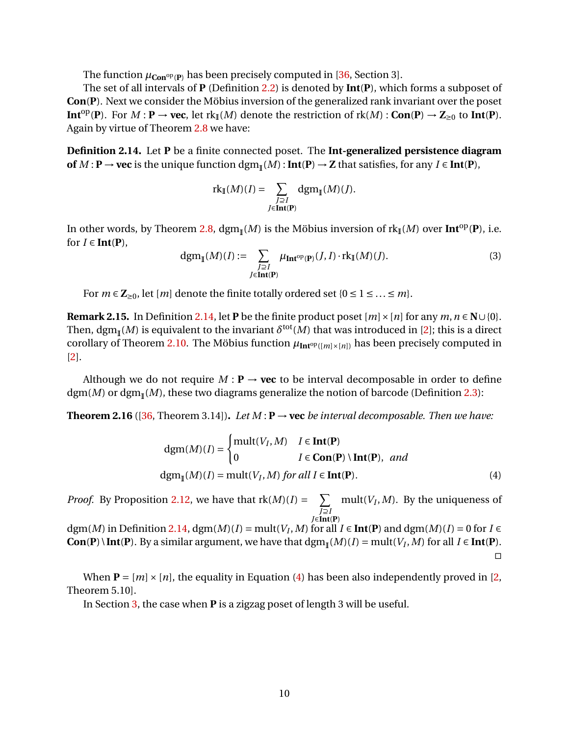The function  $\mu_{\text{Con}^{\text{op}}(P)}$  has been precisely computed in [\[36,](#page-19-10) Section 3].

The set of all intervals of **P** (Definition [2.2\)](#page-5-0) is denoted by **Int**(**P**), which forms a subposet of **Con**(**P**). Next we consider the Möbius inversion of the generalized rank invariant over the poset **Int**<sup>op</sup>(**P**). For *M* : **P** → **vec**, let rk<sub>I</sub>(*M*) denote the restriction of rk(*M*) : **Con**(**P**) → **Z**<sub>≥0</sub> to **Int**(**P**). Again by virtue of Theorem [2.8](#page-7-4) we have:

<span id="page-9-1"></span>**Definition 2.14.** Let **P** be a finite connected poset. The **Int-generalized persistence diagram of**  $M$  **: P** → **vec** is the unique function  $\text{dgm}_{\mathbb{I}}(M)$  **: Int**(**P**) → **Z** that satisfies, for any  $I \in \text{Int}(P)$ ,

$$
\mathrm{rk}_{\mathbb{I}}(M)(I) = \sum_{\substack{J \supseteq I \\ J \in \mathbf{Int}(\mathbf{P})}} \mathrm{dgm}_{\mathbb{I}}(M)(J).
$$

In other words, by Theorem [2.8,](#page-7-4)  $\text{dgm}_{\mathbb{I}}(M)$  is the Möbius inversion of  $\text{rk}_{\mathbb{I}}(M)$  over  $\text{Int}^{\text{op}}(\mathbf{P})$ , i.e. for  $I \in \textbf{Int}(P)$ ,

$$
\operatorname{dgm}_{\mathbb{I}}(M)(I) := \sum_{\substack{J \supseteq I \\ J \in \operatorname{Int}(\mathbf{P})}} \mu_{\operatorname{Int}^{\operatorname{op}}(\mathbf{P})}(J, I) \cdot \operatorname{rk}_{\mathbb{I}}(M)(J). \tag{3}
$$

For  $m \in \mathbb{Z}_{\geq 0}$ , let  $[m]$  denote the finite totally ordered set  $\{0 \leq 1 \leq \ldots \leq m\}$ .

<span id="page-9-0"></span>**Remark 2.15.** In Definition [2.14,](#page-9-1) let **P** be the finite product poset  $[m] \times [n]$  for any  $m, n \in \mathbb{N} \cup \{0\}$ . Then, dgm<sub>I</sub>(*M*) is equivalent to the invariant  $\delta^{\rm tot}(M)$  that was introduced in [\[2\]](#page-16-1); this is a direct corollary of Theorem [2.10.](#page-8-0) The Möbius function  $\mu_{Int^{op}([m] \times [n])}$  has been precisely computed in [\[2\]](#page-16-1).

Although we do not require  $M : \mathbf{P} \to \textbf{vec}$  to be interval decomposable in order to define dgm(*M*) or dgm (*M*), these two diagrams generalize the notion of barcode (Definition [2.3\)](#page-5-1):

<span id="page-9-3"></span>**Theorem 2.16** ([\[36,](#page-19-10) Theorem 3.14]). *Let*  $M : \mathbf{P} \to \textbf{vec}$  *be interval decomposable. Then we have:* 

<span id="page-9-2"></span>
$$
dgm(M)(I) = \begin{cases} mult(V_I, M) & I \in Int(P) \\ 0 & I \in Con(P) \setminus Int(P), \ and \end{cases}
$$
  

$$
dgm_{I}(M)(I) = mult(V_I, M) \text{ for all } I \in Int(P).
$$
 (4)

*Proof.* By Proposition [2.12,](#page-8-1) we have that  $rk(M)(I) = \sum_{i=1}^{n}$ *J*⊇*I J*∈**Int**(**P**) mult( $V_I, M$ ). By the uniqueness of

dgm(*M*) in Definition [2.14,](#page-9-1) dgm(*M*)(*I*) = mult(*V<sub>I</sub>*, *M*) for all *I*  $\in$  **Int(P**) and dgm(*M*)(*I*) = 0 for *I*  $\in$ Con(P) \ Int(P). By a similar argument, we have that  $\text{dgm}_{\mathbb{I}}(M)(I) = \text{mult}(V_I, M)$  for all *I* ∈ Int(P).  $\Box$ 

When  $P = [m] \times [n]$ , the equality in Equation [\(4\)](#page-9-2) has been also independently proved in [\[2,](#page-16-1) Theorem 5.10].

In Section [3,](#page-11-1) the case when **P** is a zigzag poset of length 3 will be useful.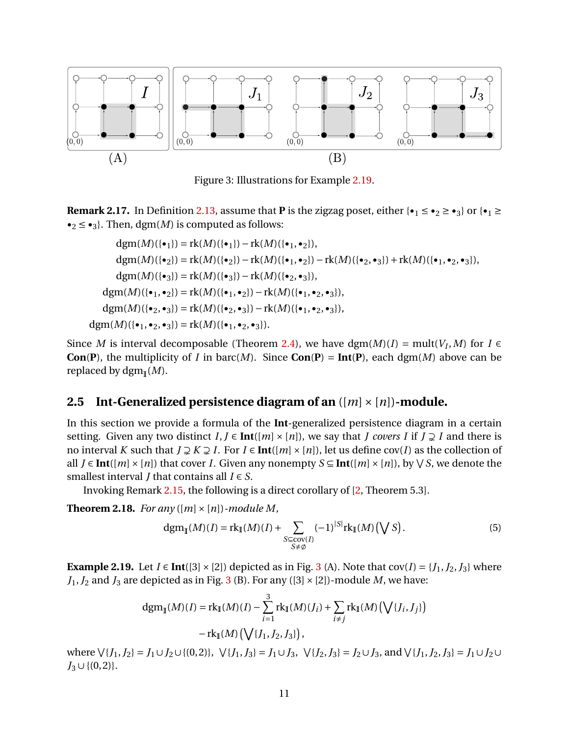<span id="page-10-2"></span>

Figure 3: Illustrations for Example [2.19.](#page-10-1)

<span id="page-10-4"></span>**Remark 2.17.** In Definition [2.13,](#page-8-2) assume that **P** is the zigzag poset, either  $\{\cdot_1 \leq \cdot_2 \geq \cdot_3\}$  or  $\{\cdot_1 \geq \cdot_2\}$  $\bullet_2 \leq \bullet_3$ . Then, dgm(*M*) is computed as follows:

$$
dgm(M)(\{\bullet_1\}) = \text{rk}(M)(\{\bullet_1\}) - \text{rk}(M)(\{\bullet_1, \bullet_2\}),
$$
  
\n
$$
dgm(M)(\{\bullet_2\}) = \text{rk}(M)(\{\bullet_2\}) - \text{rk}(M)(\{\bullet_1, \bullet_2\}) - \text{rk}(M)(\{\bullet_2, \bullet_3\}) + \text{rk}(M)(\{\bullet_1, \bullet_2, \bullet_3\}),
$$
  
\n
$$
dgm(M)(\{\bullet_3\}) = \text{rk}(M)(\{\bullet_3\}) - \text{rk}(M)(\{\bullet_2, \bullet_3\}),
$$
  
\n
$$
dgm(M)(\{\bullet_1, \bullet_2\}) = \text{rk}(M)(\{\bullet_1, \bullet_2\}) - \text{rk}(M)(\{\bullet_1, \bullet_2, \bullet_3\}),
$$
  
\n
$$
dgm(M)(\{\bullet_2, \bullet_3\}) = \text{rk}(M)(\{\bullet_2, \bullet_3\}) - \text{rk}(M)(\{\bullet_1, \bullet_2, \bullet_3\}),
$$
  
\n
$$
dgm(M)(\{\bullet_1, \bullet_2, \bullet_3\}) = \text{rk}(M)(\{\bullet_1, \bullet_2, \bullet_3\}).
$$

Since *M* is interval decomposable (Theorem [2.4\)](#page-5-4), we have  $\text{dgm}(M)(I) = \text{mult}(V_I, M)$  for  $I \in$ **Con**(**P**), the multiplicity of *I* in barc(*M*). Since **Con**(**P**) = **Int**(**P**), each dgm(*M*) above can be replaced by dgm (*M*).

#### <span id="page-10-0"></span>**2.5 Int-Generalized persistence diagram of an**  $(|m| \times |n|)$ -module.

In this section we provide a formula of the **Int**-generalized persistence diagram in a certain setting. Given any two distinct  $I, J \in Int([m] \times [n])$ , we say that *J covers I* if  $J \supsetneq I$  and there is no interval *K* such that  $J \supsetneq K \supsetneq I$ . For  $I \in Int([m] \times [n])$ , let us define cov(*I*) as the collection of all *J* ∈ **Int**([*m*] × [*n*]) that cover *I*. Given any nonempty *S* ⊆ **Int**([*m*] × [*n*]), by  $\forall$  *S*, we denote the smallest interval *J* that contains all  $I \in S$ .

Invoking Remark [2.15,](#page-9-0) the following is a direct corollary of [\[2,](#page-16-1) Theorem 5.3].

**Theorem 2.18.** *For any* ( $[m] \times [n]$ )*-module M,* 

<span id="page-10-3"></span>
$$
\operatorname{dgm}_{\mathbb{I}}(M)(I) = \operatorname{rk}_{\mathbb{I}}(M)(I) + \sum_{\substack{S \subseteq \operatorname{cov}(I) \\ S \neq \emptyset}} (-1)^{|S|} \operatorname{rk}_{\mathbb{I}}(M)\left(\bigvee S\right). \tag{5}
$$

<span id="page-10-1"></span>**Example 2.19.** Let  $I \in \text{Int}([3] \times [2])$  $I \in \text{Int}([3] \times [2])$  $I \in \text{Int}([3] \times [2])$  depicted as in Fig. 3 (A). Note that  $cov(I) = \{J_1, J_2, J_3\}$  where  $J_1, J_2$  and  $J_3$  $J_3$  are depicted as in Fig. 3 (B). For any ([3]  $\times$  [2])-module *M*, we have:

$$
dgm_{\mathbb{I}}(M)(I) = rk_{\mathbb{I}}(M)(I) - \sum_{i=1}^{3} rk_{\mathbb{I}}(M)(J_{i}) + \sum_{i \neq j} rk_{\mathbb{I}}(M)\left(\bigvee\{J_{i}, J_{j}\}\right) - rk_{\mathbb{I}}(M)\left(\bigvee\{J_{1}, J_{2}, J_{3}\}\right),
$$

where  $\forall$ {*J*<sub>1</sub>,*J*<sub>2</sub>} = *J*<sub>1</sub>∪*J*<sub>2</sub>∪{(0,2)},  $\forall$ {*J*<sub>1</sub>,*J*<sub>3</sub>} = *J*<sub>1</sub>∪*J*<sub>3</sub>,  $\forall$ {*J*<sub>2</sub>,*J*<sub>3</sub>} = *J*<sub>2</sub>∪*J*<sub>3</sub>, and  $\forall$ {*J*<sub>1</sub>,*J*<sub>2</sub>,*J*<sub>3</sub>} = *J*<sub>1</sub>∪*J*<sub>2</sub>∪  $J_3 \cup \{(0, 2)\}.$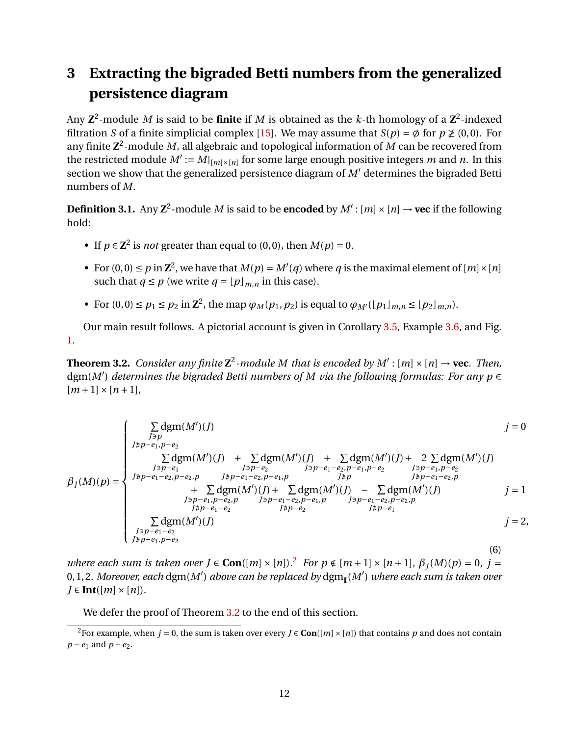## <span id="page-11-1"></span>**3 Extracting the bigraded Betti numbers from the generalized persistence diagram**

Any  $\mathbf{Z}^2$ -module  $M$  is said to be **finite** if  $M$  is obtained as the  $k$ -th homology of a  $\mathbf{Z}^2$ -indexed filtration *S* of a finite simplicial complex [\[15\]](#page-17-1). We may assume that  $S(p) = \emptyset$  for  $p \ngeq (0, 0)$ . For any finite **Z** 2 -module *M*, all algebraic and topological information of *M* can be recovered from the restricted module  $M' := M|_{[m] \times [n]}$  for some large enough positive integers *m* and *n*. In this section we show that the generalized persistence diagram of  $M'$  determines the bigraded Betti numbers of *M*.

**Definition 3.1.** Any  $\mathbb{Z}^2$ -module *M* is said to be **encoded** by  $M' : [m] \times [n] \rightarrow$  **vec** if the following hold:

- If  $p \in \mathbb{Z}^2$  is *not* greater than equal to (0,0), then  $M(p) = 0$ .
- For  $(0,0) \le p$  in  $\mathbb{Z}^2$ , we have that  $M(p) = M'(q)$  where q is the maximal element of  $[m] \times [n]$ such that  $q \leq p$  (we write  $q = |p|_{m}$  *n* in this case).
- For  $(0, 0) \le p_1 \le p_2$  in  $\mathbb{Z}^2$ , the map  $\varphi_M(p_1, p_2)$  is equal to  $\varphi_{M'}(\lfloor p_1 \rfloor_{m,n} \le \lfloor p_2 \rfloor_{m,n}).$

Our main result follows. A pictorial account is given in Corollary [3.5,](#page-12-0) Example [3.6,](#page-12-1) and Fig. [1.](#page-3-0)

<span id="page-11-0"></span>**Theorem 3.2.** *Consider any finite*  $\mathbb{Z}^2$ -module M that is encoded by  $M' : [m] \times [n] \rightarrow$  vec. Then, dgm(*M*<sup>0</sup> ) *determines the bigraded Betti numbers of M via the following formulas: For any p* ∈  $[m+1] \times [n+1]$ ,

$$
\beta_{j}(M)(p) = \begin{cases}\n\sum_{j \ni p} \text{dgm}(M')(j) & j = 0 \\
\sum_{j \ni p - e_{1}} \sum_{j \ni p - e_{2}} \text{dgm}(M')(j) & + \sum_{j \ni p - e_{2}} \text{dgm}(M')(j) + 2 \sum_{j \ni p - e_{1}} \text{dgm}(M')(j) \\
\sum_{j \ni p - e_{1}} \sum_{j \ni p - e_{2}} \sum_{j \ni p - e_{1}} \sum_{j \ni p - e_{1}} \sum_{j \ni p - e_{1}} \sum_{j \ni p - e_{1}} \sum_{j \ni p - e_{1}} \sum_{j \ni p - e_{1}} \sum_{j \ni p - e_{1}} \sum_{j \ni p - e_{1}} \sum_{j \ni p - e_{1}} \sum_{j \ni p - e_{1}} \sum_{j \ni p - e_{1}} \sum_{j \ni p - e_{1}} \sum_{j \ni p - e_{1}} \sum_{j \ni p - e_{1}} \sum_{j \ni p - e_{2}} \sum_{j \ni p - e_{2}} \sum_{j \ni p - e_{2}} \sum_{j \ni p - e_{1}} \sum_{j \ni p - e_{1}} \sum_{j \ni p - e_{1}} \sum_{j \ni p - e_{1}} \sum_{j \ni p - e_{1}} \sum_{j \ni p - e_{1}} \sum_{j \ni p - e_{1}} \sum_{j \ni p - e_{1}} \sum_{j \ni p - e_{1}} \sum_{j \ni p - e_{1}} \sum_{j \ni p - e_{1}} \sum_{j \ni p - e_{1}} \sum_{j \ni p - e_{1}} \sum_{j \ni p - e_{1}} \sum_{j \ni p - e_{1}} \sum_{j \ni p - e_{1}} \sum_{j \ni p - e_{1}} \sum_{j \ni p - e_{1}} \sum_{j \ni p - e_{1}} \sum_{j \ni p - e_{1}} \sum_{j \ni p - e_{1}} \sum_{j \ni p - e_{1}} \sum_{j \ni p - e_{1}} \sum_{j \ni p - e_{1}} \sum_{j \ni p - e_{1}} \sum_{j \ni p - e_{1}} \sum_{j \ni p - e_{1}} \sum_{j \ni p - e_{1}} \sum_{j \ni p - e_{1}} \sum_{j \ni p - e_{1}} \sum_{j \ni p - e_{1}} \sum_{j \ni p - e_{1}} \sum_{j \ni p - e_{1}} \sum_{j \ni p -
$$

*where each sum is taken over J* ∈ **Con**([*m*] × [*n*]).<sup>[2](#page-11-2)</sup> *For p* ∉ [*m* + 1] × [*n* + 1]*,*  $β_j(M)(p) = 0$ *, j* = 0, 1, 2*. Moreover, each* dgm(*M*<sup>0</sup> ) *above can be replaced by* dgm (*M*<sup>0</sup> ) *where each sum is taken over*  $J \in$  **Int**([*m*]  $\times$  [*n*]).

We defer the proof of Theorem [3.2](#page-11-0) to the end of this section.

<span id="page-11-2"></span><sup>&</sup>lt;sup>2</sup>For example, when *j* = 0, the sum is taken over every *J*  $\in$  **Con**([*m*]  $\times$  [*n*]) that contains *p* and does not contain *p* − *e*<sub>1</sub> and *p* − *e*<sub>2</sub>.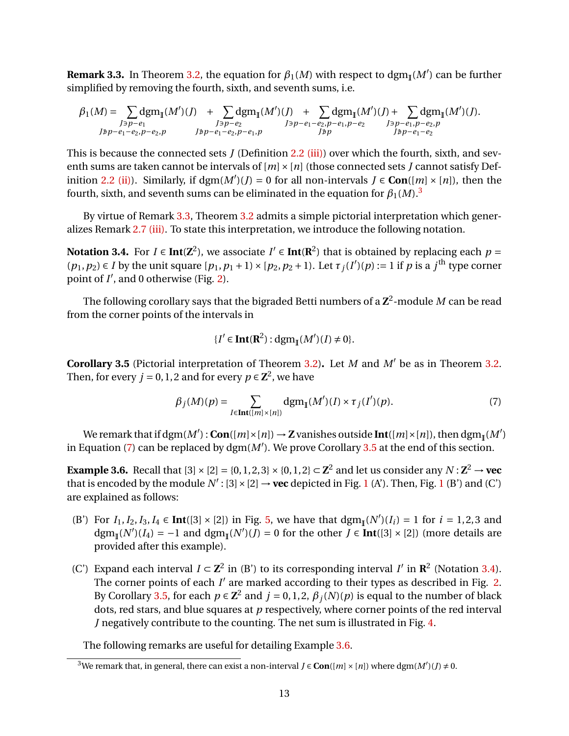<span id="page-12-3"></span>**Remark 3.3.** In Theorem [3.2,](#page-11-0) the equation for  $\beta_1(M)$  with respect to  $\text{dgm}_I(M')$  can be further simplified by removing the fourth, sixth, and seventh sums, i.e.

$$
\beta_1(M) = \sum_{\substack{J \ni p - e_1 \\ J \ni p - e_1 - e_2, p - e_2, p}} \text{dgm}_{\mathbb{I}}(M')(J) + \sum_{\substack{J \ni p - e_2 \\ J \ni p - e_1 - e_2, p - e_1, p}} \text{dgm}_{\mathbb{I}}(M')(J) + \sum_{\substack{J \ni p - e_1 \\ J \ni p}} \text{dgm}_{\mathbb{I}}(M')(J) + \sum_{\substack{J \ni p - e_1, p - e_2, p}} \text{dgm}_{\mathbb{I}}(M')(J).
$$

This is because the connected sets *J* (Definition [2.2](#page-5-0) [\(iii\)\)](#page-5-5) over which the fourth, sixth, and seventh sums are taken cannot be intervals of  $[m] \times [n]$  (those connected sets *J* cannot satisfy Def-inition [2.2](#page-5-0) [\(ii\)\)](#page-5-6). Similarly, if  $\text{dgm}(M')(J) = 0$  for all non-intervals  $J \in \text{Con}([m] \times [n])$ , then the fourth, sixth, and seventh sums can be eliminated in the equation for  $\beta_1(M)$ .<sup>[3](#page-12-2)</sup>

By virtue of Remark [3.3,](#page-12-3) Theorem [3.2](#page-11-0) admits a simple pictorial interpretation which generalizes Remark [2.7](#page-0-0) [\(iii\).](#page-6-0) To state this interpretation, we introduce the following notation.

<span id="page-12-5"></span>**Notation 3.4.** For *I* ∈ **Int**( $\mathbb{Z}^2$ ), we associate *I'* ∈ **Int**( $\mathbb{R}^2$ ) that is obtained by replacing each *p* =  $(p_1, p_2) \in I$  by the unit square  $[p_1, p_1 + 1] \times [p_2, p_2 + 1]$ . Let  $\tau_j(I)(p) := 1$  if *p* is a *j*<sup>th</sup> type corner point of *I'*, and 0 otherwise (Fig. [2\)](#page-7-0).

The following corollary says that the bigraded Betti numbers of a  $\mathbf{Z}^2$ -module  $M$  can be read from the corner points of the intervals in

$$
\{I' \in \mathbf{Int}(\mathbf{R}^2): \mathrm{dgm}_{\mathbb{I}}(M')(I) \neq 0\}.
$$

<span id="page-12-0"></span>**Corollary 3.5** (Pictorial interpretation of Theorem [3.2\)](#page-11-0). Let *M* and  $M'$  be as in Theorem [3.2.](#page-11-0) Then, for every  $j = 0, 1, 2$  and for every  $p \in \mathbb{Z}^2$ , we have

<span id="page-12-4"></span>
$$
\beta_j(M)(p) = \sum_{I \in \text{Int}([m] \times [n])} \text{dgm}_{\mathbb{I}}(M')(I) \times \tau_j(I')(p). \tag{7}
$$

We remark that if  $\text{dgm}(M')$  :  $\text{Con}([m] \times [n]) \to \mathbb{Z}$  vanishes outside  $\text{Int}([m] \times [n])$ , then  $\text{dgm}_{\mathbb{I}}(M')$ in Equation [\(7\)](#page-12-4) can be replaced by  $\text{dgm}(M')$ . We prove Corollary [3.5](#page-12-0) at the end of this section.

<span id="page-12-1"></span>**Example 3.6.** Recall that  $[3] \times [2] = \{0, 1, 2, 3\} \times \{0, 1, 2\} \subset \mathbb{Z}^2$  and let us consider any  $N : \mathbb{Z}^2 \to \mathbf{vec}$ that is encoded by the module  $N'$ : [3]  $\times$  [2]  $\rightarrow$  **vec** depicted in Fig. [1](#page-3-0) (A'). Then, Fig. 1 (B') and (C') are explained as follows:

- (B') For  $I_1, I_2, I_3, I_4 \in Int([3] \times [2])$  in Fig. [5,](#page-13-0) we have that  $\text{dgm}_{\mathbb{I}}(N')(I_i) = 1$  for  $i = 1, 2, 3$  and  $\text{dgm}_{\mathbb{I}}(N')(I_4) = -1$  and  $\text{dgm}_{\mathbb{I}}(N')(J) = 0$  for the other  $J \in \text{Int}([3] \times [2])$  (more details are provided after this example).
- (C') Expand each interval  $I \subset \mathbb{Z}^2$  in (B') to its corresponding interval *I'* in  $\mathbb{R}^2$  (Notation [3.4\)](#page-12-5). The corner points of each  $I'$  are marked according to their types as described in Fig. [2.](#page-7-0) By Corollary [3.5,](#page-12-0) for each  $p \in \mathbb{Z}^2$  and  $j = 0, 1, 2, \beta_j(N)(p)$  is equal to the number of black dots, red stars, and blue squares at *p* respectively, where corner points of the red interval *J* negatively contribute to the counting. The net sum is illustrated in Fig. [4.](#page-13-1)

The following remarks are useful for detailing Example [3.6.](#page-12-1)

<span id="page-12-2"></span><sup>&</sup>lt;sup>3</sup>We remark that, in general, there can exist a non-interval  $J \in \mathbf{Con}([m] \times [n])$  where dgm $(M')(J) \neq 0$ .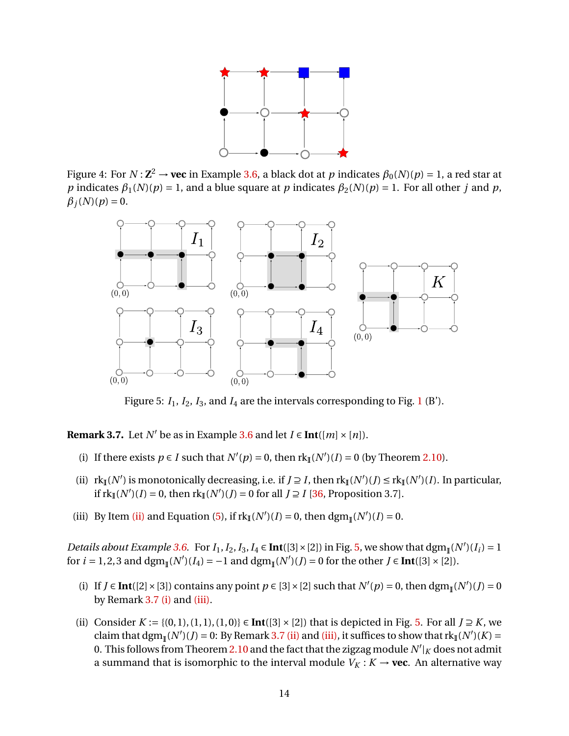

<span id="page-13-1"></span>Figure 4: For  $N$  :  $\mathbf{Z}^2 \to \mathbf{vec}$  in Example [3.6,](#page-12-1) a black dot at  $p$  indicates  $\beta_0(N)(p)$  = 1, a red star at *p* indicates  $\beta_1(N)(p) = 1$ , and a blue square at *p* indicates  $\beta_2(N)(p) = 1$ . For all other *j* and *p*,  $\beta$ <sup>*j*</sup>(*N*)(*p*) = 0.

<span id="page-13-0"></span>

Figure 5:  $I_1$  $I_1$ ,  $I_2$ ,  $I_3$ , and  $I_4$  are the intervals corresponding to Fig. 1 (B').

<span id="page-13-3"></span>**Remark 3.7.** Let *N'* be as in Example [3.6](#page-12-1) and let  $I \in \text{Int}([m] \times [n])$ .

- <span id="page-13-4"></span>(i) If there exists  $p \in I$  such that  $N'(p) = 0$ , then  $rk_{\mathbb{I}}(N')(I) = 0$  (by Theorem [2.10\)](#page-8-0).
- <span id="page-13-2"></span>(ii)  $rk_{\mathbb{I}}(N')$  is monotonically decreasing, i.e. if  $J \supseteq I$ , then  $rk_{\mathbb{I}}(N')(J) \leq rk_{\mathbb{I}}(N')(I)$ . In particular, if  $rk_{\mathbb{I}}(N')(I) = 0$ , then  $rk_{\mathbb{I}}(N')(J) = 0$  for all  $J \supseteq I$  [\[36,](#page-19-10) Proposition 3.7].
- <span id="page-13-5"></span>(iii) By Item [\(ii\)](#page-13-2) and Equation [\(5\)](#page-10-3), if  $rk_{\mathbb{I}}(N')(I) = 0$ , then  $\text{dgm}_{\mathbb{I}}(N')(I) = 0$ .

*Details about Example* [3.6.](#page-12-1) For  $I_1$ ,  $I_2$ ,  $I_3$ ,  $I_4 \in Int([3] \times [2])$  in Fig. [5,](#page-13-0) we show that  $\text{dgm}_{\mathbb{I}}(N')(I_i) = 1$ for *i* = 1, 2, 3 and dgm<sub>I</sub>(*N'*)(*I*<sub>4</sub>) = −1 and dgm<sub>I</sub>(*N'*)(*J*) = 0 for the other *J* ∈ **Int**([3] × [2]).

- (i) If  $J \in Int([2] \times [3])$  contains any point  $p \in [3] \times [2]$  such that  $N'(p) = 0$ , then  $\text{dgm}_{\mathbb{I}}(N')(J) = 0$ by Remark [3.7](#page-13-3) [\(i\)](#page-13-4) and [\(iii\).](#page-13-5)
- (ii) Consider *K* := {(0, 1), (1, 1), (1, 0)} ∈ **Int**([3] × [2]) that is depicted in Fig. [5.](#page-13-0) For all *J* ≥ *K*, we claim that  $\text{dgm}_{\mathbb{I}}(N')(J) = 0$ : By Remark [3.7](#page-13-3) [\(ii\)](#page-13-2) and [\(iii\),](#page-13-5) it suffices to show that  $\text{rk}_{\mathbb{I}}(N')(K) =$ 0. This follows from Theorem [2.10](#page-8-0) and the fact that the zigzag module  $N'|_K$  does not admit a summand that is isomorphic to the interval module  $V_K : K \to \textbf{vec}$ . An alternative way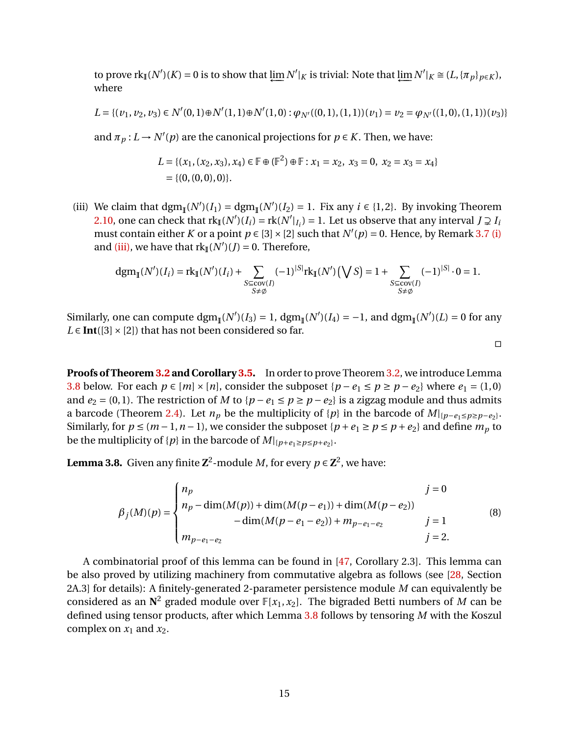to prove  $\text{rk}_{\mathbb{I}}(N')(K) = 0$  is to show that  $\varprojlim N'|_K$  is trivial: Note that  $\varprojlim N'|_K \cong (L, \{\pi_p\}_{p \in K}),$ where

$$
L = \{ (v_1, v_2, v_3) \in N'(0, 1) \oplus N'(1, 1) \oplus N'(1, 0) : \varphi_{N'}((0, 1), (1, 1))(v_1) = v_2 = \varphi_{N'}((1, 0), (1, 1))(v_3) \}
$$

and  $\pi_p: L \to N'(p)$  are the canonical projections for  $p \in K$ . Then, we have:

$$
L = \{ (x_1, (x_2, x_3), x_4) \in \mathbb{F} \oplus (\mathbb{F}^2) \oplus \mathbb{F} : x_1 = x_2, x_3 = 0, x_2 = x_3 = x_4 \}
$$
  
= \{ (0, (0, 0), 0) \}.

(iii) We claim that  $\text{dgm}_{\mathbb{I}}(N')(I_1) = \text{dgm}_{\mathbb{I}}(N')(I_2) = 1$ . Fix any  $i \in \{1, 2\}$ . By invoking Theorem [2.10,](#page-8-0) one can check that  $rk_{\mathbb{I}}(N')(I_i) = rk(N'|I_i) = 1$ . Let us observe that any interval  $J \supsetneq I_i$ must contain either *K* or a point  $p \in [3] \times [2]$  such that  $N'(p) = 0$ . Hence, by Remark [3.7](#page-13-3) [\(i\)](#page-13-4) and [\(iii\),](#page-13-5) we have that  $rk_{\mathbb{I}}(N')(J) = 0$ . Therefore,

$$
dgm_{\mathbb{I}}(N')(I_i) = r k_{\mathbb{I}}(N')(I_i) + \sum_{\substack{S \subseteq cov(I) \\ S \neq \emptyset}} (-1)^{|S|} r k_{\mathbb{I}}(N') \left(\bigvee S\right) = 1 + \sum_{\substack{S \subseteq cov(I) \\ S \neq \emptyset}} (-1)^{|S|} \cdot 0 = 1.
$$

Similarly, one can compute  $\text{dgm}_{\mathbb{I}}(N')(I_3) = 1$ ,  $\text{dgm}_{\mathbb{I}}(N')(I_4) = -1$ , and  $\text{dgm}_{\mathbb{I}}(N')(L) = 0$  for any  $L \in \text{Int}([3] \times [2])$  that has not been considered so far.

 $\Box$ 

**Proofs of Theorem [3.2](#page-11-0) and Corollary [3.5.](#page-12-0)** In order to prove Theorem [3.2,](#page-11-0) we introduce Lemma [3.8](#page-14-0) below. For each *p* ∈ [*m*] × [*n*], consider the subposet {*p* − *e*<sub>1</sub> ≤ *p* ≥ *p* − *e*<sub>2</sub>} where *e*<sub>1</sub> = (1,0) and  $e_2 = (0, 1)$ . The restriction of *M* to { $p - e_1 \le p \ge p - e_2$ } is a zigzag module and thus admits a barcode (Theorem [2.4\)](#page-5-4). Let  $n_p$  be the multiplicity of  $\{p\}$  in the barcode of  $M|_{\{p-e_1\le p\ge p-e_2\}}$ . Similarly, for  $p \le (m-1, n-1)$ , we consider the subposet  $\{p+e_1 \ge p \le p+e_2\}$  and define  $m_p$  to be the multiplicity of  $\{p\}$  in the barcode of  $M|_{\{p+e_1\geq p\leq p+e_2\}}$ .

<span id="page-14-0"></span>**Lemma 3.8.** Given any finite  $\mathbb{Z}^2$ -module *M*, for every  $p \in \mathbb{Z}^2$ , we have:

$$
\beta_j(M)(p) = \begin{cases}\nn_p & j = 0 \\
n_p - \dim(M(p)) + \dim(M(p - e_1)) + \dim(M(p - e_2)) \\
-\dim(M(p - e_1 - e_2)) + m_{p - e_1 - e_2} & j = 1 \\
m_{p - e_1 - e_2} & j = 2.\n\end{cases}
$$
\n(8)

A combinatorial proof of this lemma can be found in [\[47,](#page-19-15) Corollary 2.3]. This lemma can be also proved by utilizing machinery from commutative algebra as follows (see [\[28,](#page-18-8) Section 2A.3] for details): A finitely-generated 2-parameter persistence module *M* can equivalently be considered as an  $\mathbb{N}^2$  graded module over  $\mathbb{F}[x_1, x_2]$ . The bigraded Betti numbers of *M* can be defined using tensor products, after which Lemma [3.8](#page-14-0) follows by tensoring *M* with the Koszul complex on  $x_1$  and  $x_2$ .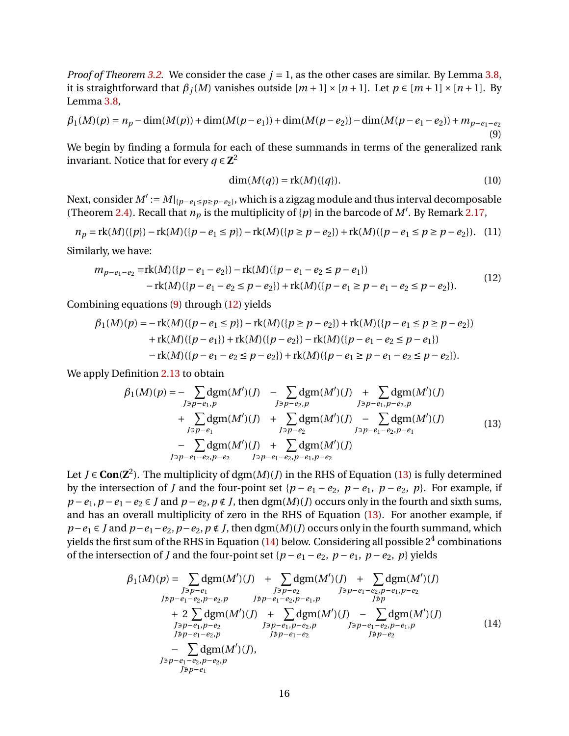*Proof of Theorem [3.2.](#page-11-0)* We consider the case  $j = 1$ , as the other cases are similar. By Lemma [3.8,](#page-14-0) it is straightforward that  $\beta_i(M)$  vanishes outside  $[m+1] \times [n+1]$ . Let  $p \in [m+1] \times [n+1]$ . By Lemma [3.8,](#page-14-0)

<span id="page-15-0"></span>
$$
\beta_1(M)(p) = n_p - \dim(M(p)) + \dim(M(p - e_1)) + \dim(M(p - e_2)) - \dim(M(p - e_1 - e_2)) + m_{p - e_1 - e_2}
$$
\n(9)

We begin by finding a formula for each of these summands in terms of the generalized rank invariant. Notice that for every  $q \in \mathbb{Z}^2$ 

$$
\dim(M(q)) = \text{rk}(M)(\{q\}).\tag{10}
$$

Next, consider  $M' := M|_{\{p-e_1\leq p\geq p-e_2\}}$ , which is a zigzag module and thus interval decomposable (Theorem [2.4\)](#page-5-4). Recall that  $n_p$  is the multiplicity of  $\{p\}$  in the barcode of *M'*. By Remark [2.17,](#page-10-4)

$$
n_p = \text{rk}(M)(\{p\}) - \text{rk}(M)(\{p - e_1 \le p\}) - \text{rk}(M)(\{p \ge p - e_2\}) + \text{rk}(M)(\{p - e_1 \le p \ge p - e_2\}). \tag{11}
$$

Similarly, we have:

<span id="page-15-1"></span>
$$
m_{p-e_1-e_2} = \text{rk}(M)(\{p-e_1-e_2\}) - \text{rk}(M)(\{p-e_1-e_2 \le p-e_1\})
$$
  
-  $\text{rk}(M)(\{p-e_1-e_2 \le p-e_2\}) + \text{rk}(M)(\{p-e_1 \ge p-e_1-e_2 \le p-e_2\}).$  (12)

Combining equations [\(9\)](#page-15-0) through [\(12\)](#page-15-1) yields

$$
\beta_1(M)(p) = -\operatorname{rk}(M)(\{p - e_1 \le p\}) - \operatorname{rk}(M)(\{p \ge p - e_2\}) + \operatorname{rk}(M)(\{p - e_1 \le p \ge p - e_2\})
$$
  
+  $\operatorname{rk}(M)(\{p - e_1\}) + \operatorname{rk}(M)(\{p - e_2\}) - \operatorname{rk}(M)(\{p - e_1 - e_2 \le p - e_1\})$   
-  $\operatorname{rk}(M)(\{p - e_1 - e_2 \le p - e_2\}) + \operatorname{rk}(M)(\{p - e_1 \ge p - e_1 - e_2 \le p - e_2\}).$ 

We apply Definition [2.13](#page-8-2) to obtain

<span id="page-15-2"></span>
$$
\beta_1(M)(p) = -\sum_{J \ni p - e_1, p} \text{dgm}(M')(J) - \sum_{J \ni p - e_2, p} \text{dgm}(M')(J) + \sum_{J \ni p - e_1, p - e_2, p} \text{dgm}(M')(J) \n+ \sum_{J \ni p - e_1} \text{dgm}(M')(J) + \sum_{J \ni p - e_2} \text{dgm}(M')(J) - \sum_{J \ni p - e_1 - e_2, p - e_1} \text{dgm}(M')(J) \n- \sum_{J \ni p - e_1 - e_2, p - e_2} \text{dgm}(M')(J) + \sum_{J \ni p - e_1 - e_2, p - e_1} \text{dgm}(M')(J)
$$
\n(13)

Let *J* ∈ **Con**( $\mathbb{Z}^2$ ). The multiplicity of dgm(*M*)(*J*) in the RHS of Equation [\(13\)](#page-15-2) is fully determined by the intersection of *J* and the four-point set { $p - e_1 - e_2$ ,  $p - e_1$ ,  $p - e_2$ ,  $p$ }. For example, if  $p - e_1$ ,  $p - e_1 - e_2 \in J$  and  $p - e_2$ ,  $p \notin J$ , then dgm(*M*)(*J*) occurs only in the fourth and sixth sums, and has an overall multiplicity of zero in the RHS of Equation [\(13\)](#page-15-2). For another example, if *p*−*e*<sub>1</sub> ∈ *J* and *p*−*e*<sub>1</sub> − *e*<sub>2</sub>, *p* ∈ *t*<sub>2</sub>, *p* ∉ *J*, then dgm(*M*)(*J*) occurs only in the fourth summand, which yields the first sum of the RHS in Equation [\(14\)](#page-15-3) below. Considering all possible  $2^4$  combinations of the intersection of *J* and the four-point set { $p − e_1 − e_2$ ,  $p − e_1$ ,  $p − e_2$ ,  $p$ } yields

<span id="page-15-3"></span>
$$
\beta_1(M)(p) = \sum_{J \ni p - e_1} \text{dgm}(M')(J) + \sum_{J \ni p - e_2} \text{dgm}(M')(J) + \sum_{J \ni p - e_1 - e_2, p - e_1, p - e_2} \text{dgm}(M')(J)
$$
\n
$$
J^{p}p - e_1 - e_2, p - e_2, p \qquad J^{p}p - e_1 - e_2, p - e_1, p \qquad J^{p}p
$$
\n
$$
+ 2 \sum_{J \ni p - e_1, p - e_2} \text{dgm}(M')(J) + \sum_{J \ni p - e_1, p - e_2, p} \text{dgm}(M')(J) - \sum_{J \ni p - e_1 - e_2, p - e_1, p} \text{dgm}(M')(J)
$$
\n
$$
J^{p}p - e_1 - e_2, p \qquad J^{p}p - e_1 - e_2 \qquad J^{p}p - e_2
$$
\n
$$
- \sum_{J \ni p - e_1 - e_2, p - e_2, p} \text{dgm}(M')(J),
$$
\n
$$
J^{p}p - e_1 - e_2, p - e_2, p \qquad J^{p}p - e_1 \qquad J^{p}p - e_1 \qquad (14)
$$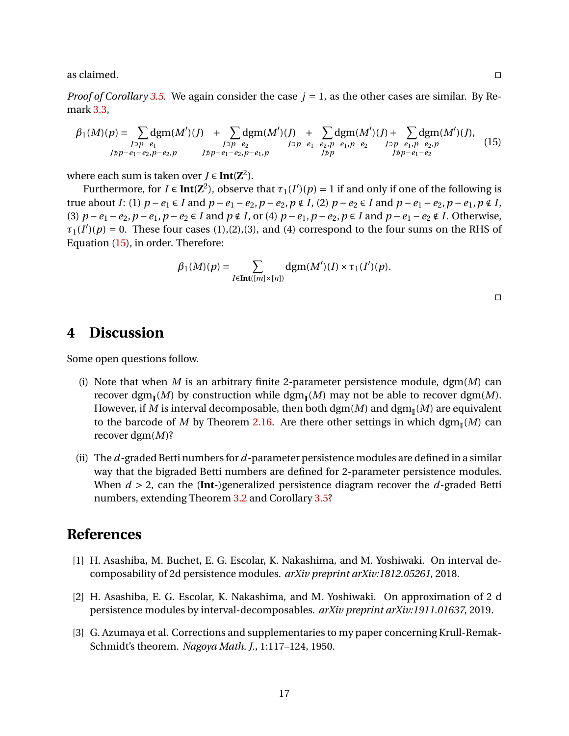as claimed.  $\Box$ 

*Proof of Corollary* [3.5.](#page-12-0) We again consider the case  $j = 1$ , as the other cases are similar. By Remark [3.3,](#page-12-3)

<span id="page-16-4"></span>
$$
\beta_1(M)(p) = \sum_{\substack{J \ni p - e_1 \\ J \ni p - e_1 - e_2, p - e_2, p}} \text{dgm}(M')(J) + \sum_{\substack{J \ni p - e_2 \\ J \ni p - e_1 - e_2, p - e_1, p}} \text{dgm}(M')(J) + \sum_{\substack{J \ni p - e_1 - e_2, p - e_1, p - e_2 \\ J \ni p}} \text{dgm}(M')(J),
$$
\n
$$
\text{(15)}
$$

where each sum is taken over  $J \in \text{Int}(\mathbb{Z}^2)$ .

Furthermore, for  $I \in \text{Int}(\mathbb{Z}^2)$ , observe that  $\tau_1(I')(p) = 1$  if and only if one of the following is true about I: (1)  $p - e_1 \in I$  and  $p - e_1 - e_2$ ,  $p - e_2$ ,  $p \notin I$ , (2)  $p - e_2 \in I$  and  $p - e_1 - e_2$ ,  $p - e_1$ ,  $p \notin I$ , (3)  $p - e_1 - e_2$ ,  $p - e_1$ ,  $p - e_2 \in I$  and  $p \notin I$ , or (4)  $p - e_1$ ,  $p - e_2$ ,  $p \in I$  and  $p - e_1 - e_2 \notin I$ . Otherwise,  $\tau_1(I')$ <sup>(*p*)</sup> = 0. These four cases (1),(2),(3), and (4) correspond to the four sums on the RHS of Equation [\(15\)](#page-16-4), in order. Therefore:

$$
\beta_1(M)(p) = \sum_{I \in \mathbf{Int}([m] \times [n])} \mathrm{dgm}(M')(I) \times \tau_1(I')(p).
$$

 $\Box$ 

## <span id="page-16-2"></span>**4 Discussion**

Some open questions follow.

- (i) Note that when *M* is an arbitrary finite 2-parameter persistence module,  $\text{dgm}(M)$  can recover dgm (*M*) by construction while dgm (*M*) may not be able to recover dgm(*M*). However, if  $M$  is interval decomposable, then both  $\mathrm{dgm}(M)$  and  $\mathrm{dgm}_{\mathbb{I}}(M)$  are equivalent to the barcode of  $M$  by Theorem [2.16.](#page-9-3) Are there other settings in which  $\text{dgm}_{\mathbb{I}}(M)$  can recover dgm(*M*)?
- (ii) The *d*-graded Betti numbers for *d*-parameter persistence modules are defined in a similar way that the bigraded Betti numbers are defined for 2-parameter persistence modules. When *d* > 2, can the (**Int**-)generalized persistence diagram recover the *d*-graded Betti numbers, extending Theorem [3.2](#page-11-0) and Corollary [3.5?](#page-12-0)

### **References**

- <span id="page-16-0"></span>[1] H. Asashiba, M. Buchet, E. G. Escolar, K. Nakashima, and M. Yoshiwaki. On interval decomposability of 2d persistence modules. *arXiv preprint arXiv:1812.05261*, 2018.
- <span id="page-16-1"></span>[2] H. Asashiba, E. G. Escolar, K. Nakashima, and M. Yoshiwaki. On approximation of 2 d persistence modules by interval-decomposables. *arXiv preprint arXiv:1911.01637*, 2019.
- <span id="page-16-3"></span>[3] G. Azumaya et al. Corrections and supplementaries to my paper concerning Krull-Remak-Schmidt's theorem. *Nagoya Math. J.*, 1:117–124, 1950.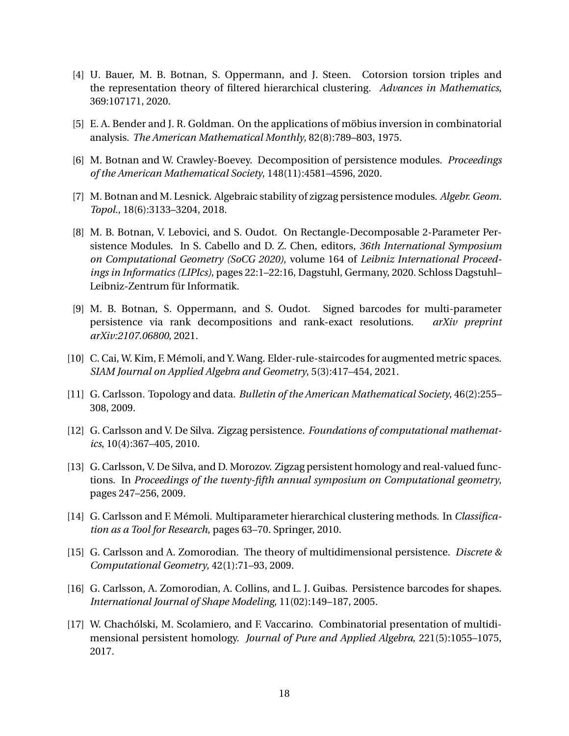- <span id="page-17-7"></span>[4] U. Bauer, M. B. Botnan, S. Oppermann, and J. Steen. Cotorsion torsion triples and the representation theory of filtered hierarchical clustering. *Advances in Mathematics*, 369:107171, 2020.
- <span id="page-17-13"></span>[5] E. A. Bender and J. R. Goldman. On the applications of möbius inversion in combinatorial analysis. *The American Mathematical Monthly*, 82(8):789–803, 1975.
- <span id="page-17-12"></span>[6] M. Botnan and W. Crawley-Boevey. Decomposition of persistence modules. *Proceedings of the American Mathematical Society*, 148(11):4581–4596, 2020.
- <span id="page-17-4"></span>[7] M. Botnan and M. Lesnick. Algebraic stability of zigzag persistence modules. *Algebr. Geom. Topol.*, 18(6):3133–3204, 2018.
- <span id="page-17-5"></span>[8] M. B. Botnan, V. Lebovici, and S. Oudot. On Rectangle-Decomposable 2-Parameter Persistence Modules. In S. Cabello and D. Z. Chen, editors, *36th International Symposium on Computational Geometry (SoCG 2020)*, volume 164 of *Leibniz International Proceedings in Informatics (LIPIcs)*, pages 22:1–22:16, Dagstuhl, Germany, 2020. Schloss Dagstuhl– Leibniz-Zentrum für Informatik.
- <span id="page-17-2"></span>[9] M. B. Botnan, S. Oppermann, and S. Oudot. Signed barcodes for multi-parameter persistence via rank decompositions and rank-exact resolutions. *arXiv preprint arXiv:2107.06800*, 2021.
- <span id="page-17-8"></span>[10] C. Cai, W. Kim, F. Mémoli, and Y. Wang. Elder-rule-staircodes for augmented metric spaces. *SIAM Journal on Applied Algebra and Geometry*, 5(3):417–454, 2021.
- <span id="page-17-0"></span>[11] G. Carlsson. Topology and data. *Bulletin of the American Mathematical Society*, 46(2):255– 308, 2009.
- <span id="page-17-11"></span>[12] G. Carlsson and V. De Silva. Zigzag persistence. *Foundations of computational mathematics*, 10(4):367–405, 2010.
- <span id="page-17-6"></span>[13] G. Carlsson, V. De Silva, and D. Morozov. Zigzag persistent homology and real-valued functions. In *Proceedings of the twenty-fifth annual symposium on Computational geometry*, pages 247–256, 2009.
- <span id="page-17-9"></span>[14] G. Carlsson and F. Mémoli. Multiparameter hierarchical clustering methods. In *Classification as a Tool for Research*, pages 63–70. Springer, 2010.
- <span id="page-17-1"></span>[15] G. Carlsson and A. Zomorodian. The theory of multidimensional persistence. *Discrete & Computational Geometry*, 42(1):71–93, 2009.
- <span id="page-17-10"></span>[16] G. Carlsson, A. Zomorodian, A. Collins, and L. J. Guibas. Persistence barcodes for shapes. *International Journal of Shape Modeling*, 11(02):149–187, 2005.
- <span id="page-17-3"></span>[17] W. Chachólski, M. Scolamiero, and F. Vaccarino. Combinatorial presentation of multidimensional persistent homology. *Journal of Pure and Applied Algebra*, 221(5):1055–1075, 2017.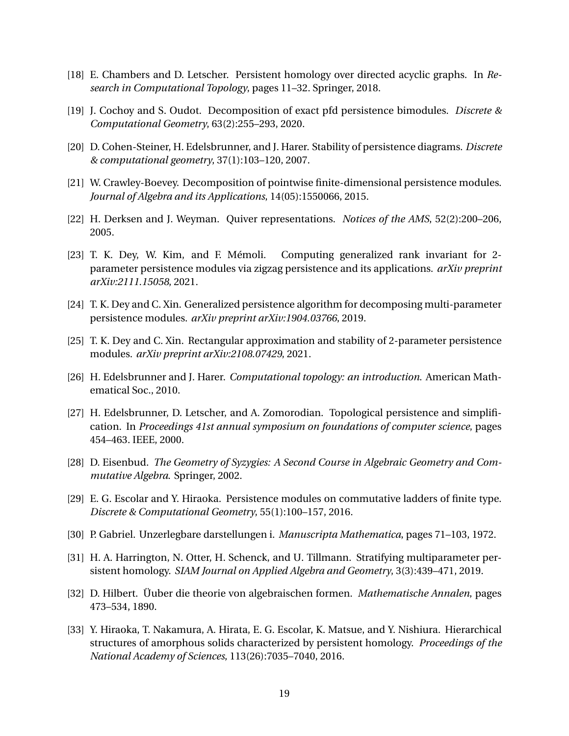- <span id="page-18-15"></span>[18] E. Chambers and D. Letscher. Persistent homology over directed acyclic graphs. In *Research in Computational Topology*, pages 11–32. Springer, 2018.
- <span id="page-18-4"></span>[19] J. Cochoy and S. Oudot. Decomposition of exact pfd persistence bimodules. *Discrete & Computational Geometry*, 63(2):255–293, 2020.
- <span id="page-18-10"></span>[20] D. Cohen-Steiner, H. Edelsbrunner, and J. Harer. Stability of persistence diagrams. *Discrete & computational geometry*, 37(1):103–120, 2007.
- <span id="page-18-13"></span>[21] W. Crawley-Boevey. Decomposition of pointwise finite-dimensional persistence modules. *Journal of Algebra and its Applications*, 14(05):1550066, 2015.
- <span id="page-18-1"></span>[22] H. Derksen and J. Weyman. Quiver representations. *Notices of the AMS*, 52(2):200–206, 2005.
- <span id="page-18-12"></span>[23] T. K. Dey, W. Kim, and F. Mémoli. Computing generalized rank invariant for 2 parameter persistence modules via zigzag persistence and its applications. *arXiv preprint arXiv:2111.15058*, 2021.
- <span id="page-18-11"></span>[24] T. K. Dey and C. Xin. Generalized persistence algorithm for decomposing multi-parameter persistence modules. *arXiv preprint arXiv:1904.03766*, 2019.
- <span id="page-18-5"></span>[25] T. K. Dey and C. Xin. Rectangular approximation and stability of 2-parameter persistence modules. *arXiv preprint arXiv:2108.07429*, 2021.
- <span id="page-18-0"></span>[26] H. Edelsbrunner and J. Harer. *Computational topology: an introduction*. American Mathematical Soc., 2010.
- <span id="page-18-9"></span>[27] H. Edelsbrunner, D. Letscher, and A. Zomorodian. Topological persistence and simplification. In *Proceedings 41st annual symposium on foundations of computer science*, pages 454–463. IEEE, 2000.
- <span id="page-18-8"></span>[28] D. Eisenbud. *The Geometry of Syzygies: A Second Course in Algebraic Geometry and Commutative Algebra*. Springer, 2002.
- <span id="page-18-6"></span>[29] E. G. Escolar and Y. Hiraoka. Persistence modules on commutative ladders of finite type. *Discrete & Computational Geometry*, 55(1):100–157, 2016.
- <span id="page-18-2"></span>[30] P. Gabriel. Unzerlegbare darstellungen i. *Manuscripta Mathematica*, pages 71–103, 1972.
- <span id="page-18-3"></span>[31] H. A. Harrington, N. Otter, H. Schenck, and U. Tillmann. Stratifying multiparameter persistent homology. *SIAM Journal on Applied Algebra and Geometry*, 3(3):439–471, 2019.
- <span id="page-18-14"></span>[32] D. Hilbert. Üuber die theorie von algebraischen formen. *Mathematische Annalen*, pages 473–534, 1890.
- <span id="page-18-7"></span>[33] Y. Hiraoka, T. Nakamura, A. Hirata, E. G. Escolar, K. Matsue, and Y. Nishiura. Hierarchical structures of amorphous solids characterized by persistent homology. *Proceedings of the National Academy of Sciences*, 113(26):7035–7040, 2016.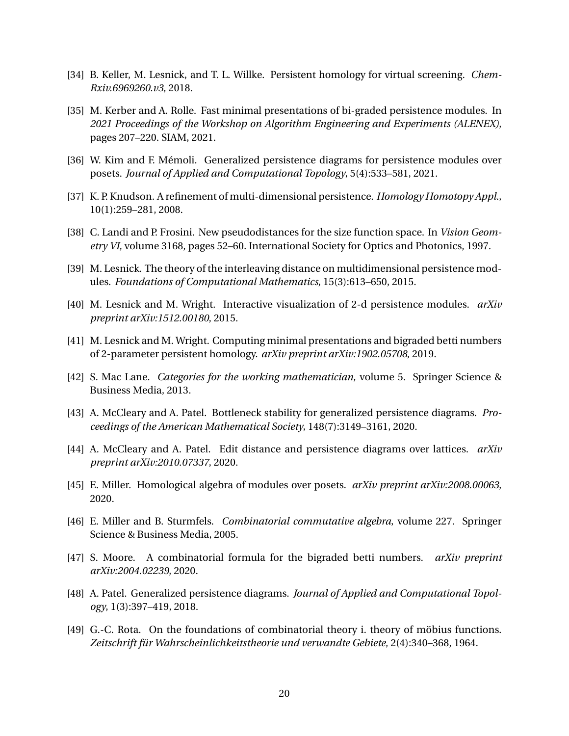- <span id="page-19-3"></span>[34] B. Keller, M. Lesnick, and T. L. Willke. Persistent homology for virtual screening. *Chem-Rxiv.6969260.v3*, 2018.
- <span id="page-19-6"></span>[35] M. Kerber and A. Rolle. Fast minimal presentations of bi-graded persistence modules. In *2021 Proceedings of the Workshop on Algorithm Engineering and Experiments (ALENEX)*, pages 207–220. SIAM, 2021.
- <span id="page-19-10"></span>[36] W. Kim and F. Mémoli. Generalized persistence diagrams for persistence modules over posets. *Journal of Applied and Computational Topology*, 5(4):533–581, 2021.
- <span id="page-19-0"></span>[37] K. P. Knudson. A refinement of multi-dimensional persistence. *Homology Homotopy Appl.*, 10(1):259–281, 2008.
- <span id="page-19-7"></span>[38] C. Landi and P. Frosini. New pseudodistances for the size function space. In *Vision Geometry VI*, volume 3168, pages 52–60. International Society for Optics and Photonics, 1997.
- <span id="page-19-11"></span>[39] M. Lesnick. The theory of the interleaving distance on multidimensional persistence modules. *Foundations of Computational Mathematics*, 15(3):613–650, 2015.
- <span id="page-19-2"></span>[40] M. Lesnick and M. Wright. Interactive visualization of 2-d persistence modules. *arXiv preprint arXiv:1512.00180*, 2015.
- <span id="page-19-5"></span>[41] M. Lesnick and M. Wright. Computing minimal presentations and bigraded betti numbers of 2-parameter persistent homology. *arXiv preprint arXiv:1902.05708*, 2019.
- <span id="page-19-14"></span>[42] S. Mac Lane. *Categories for the working mathematician*, volume 5. Springer Science & Business Media, 2013.
- <span id="page-19-9"></span>[43] A. McCleary and A. Patel. Bottleneck stability for generalized persistence diagrams. *Proceedings of the American Mathematical Society*, 148(7):3149–3161, 2020.
- <span id="page-19-12"></span>[44] A. McCleary and A. Patel. Edit distance and persistence diagrams over lattices. *arXiv preprint arXiv:2010.07337*, 2020.
- <span id="page-19-1"></span>[45] E. Miller. Homological algebra of modules over posets. *arXiv preprint arXiv:2008.00063*, 2020.
- <span id="page-19-4"></span>[46] E. Miller and B. Sturmfels. *Combinatorial commutative algebra*, volume 227. Springer Science & Business Media, 2005.
- <span id="page-19-15"></span>[47] S. Moore. A combinatorial formula for the bigraded betti numbers. *arXiv preprint arXiv:2004.02239*, 2020.
- <span id="page-19-8"></span>[48] A. Patel. Generalized persistence diagrams. *Journal of Applied and Computational Topology*, 1(3):397–419, 2018.
- <span id="page-19-13"></span>[49] G.-C. Rota. On the foundations of combinatorial theory i. theory of möbius functions. *Zeitschrift für Wahrscheinlichkeitstheorie und verwandte Gebiete*, 2(4):340–368, 1964.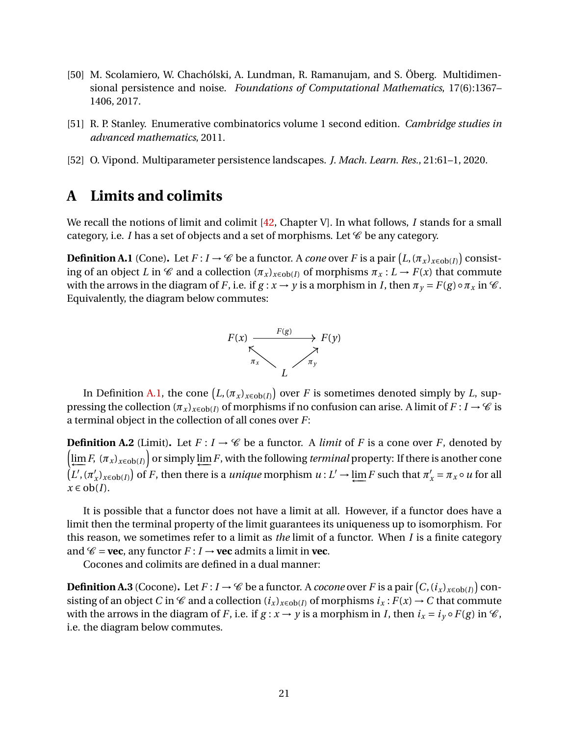- <span id="page-20-0"></span>[50] M. Scolamiero, W. Chachólski, A. Lundman, R. Ramanujam, and S. Öberg. Multidimensional persistence and noise. *Foundations of Computational Mathematics*, 17(6):1367– 1406, 2017.
- <span id="page-20-2"></span>[51] R. P. Stanley. Enumerative combinatorics volume 1 second edition. *Cambridge studies in advanced mathematics*, 2011.
- <span id="page-20-1"></span>[52] O. Vipond. Multiparameter persistence landscapes. *J. Mach. Learn. Res.*, 21:61–1, 2020.

## <span id="page-20-3"></span>**A Limits and colimits**

We recall the notions of limit and colimit [\[42,](#page-19-14) Chapter V]. In what follows, *I* stands for a small category, i.e.  $I$  has a set of objects and a set of morphisms. Let  $\mathscr C$  be any category.

<span id="page-20-4"></span>**Definition A.1** (Cone). Let  $F: I \to \mathscr{C}$  be a functor. A *cone* over  $F$  is a pair  $(L, (\pi_x)_{x \in ob(I)})$  consisting of an object *L* in  $\mathscr C$  and a collection  $(\pi_x)_{x \in ob(I)}$  of morphisms  $\pi_x : L \to F(x)$  that commute with the arrows in the diagram of *F*, i.e. if  $g: x \to y$  is a morphism in *I*, then  $\pi_y = F(g) \circ \pi_x$  in  $\mathcal{C}$ . Equivalently, the diagram below commutes:



In Definition [A.1,](#page-20-4) the cone  $\left(L, (\pi_x)_{x \in \text{ob}(I)}\right)$  over  $F$  is sometimes denoted simply by  $L$ , suppressing the collection  $(\pi_x)_{x \in ob(I)}$  of morphisms if no confusion can arise. A limit of  $F: I \to \mathscr{C}$  is a terminal object in the collection of all cones over *F*:

**Definition A.2** (Limit). Let  $F: I \to \mathcal{C}$  be a functor. A *limit* of *F* is a cone over *F*, denoted by  $\left(\varprojlim F, (\pi_x)_{x \in \text{ob}(I)}\right)$  or simply  $\varprojlim F$ , with the following *terminal* property: If there is another cone  $\hat{\left( L',\left( \pi'\right) \right) }$  $\lim_{x \to \infty} F(x)$  of *F*, then there is a *unique* morphism  $u: L' \to \lim_{x \to \infty} F$  such that  $\pi'_x = \pi_x \circ u$  for all  $x \in ob(I)$ .

It is possible that a functor does not have a limit at all. However, if a functor does have a limit then the terminal property of the limit guarantees its uniqueness up to isomorphism. For this reason, we sometimes refer to a limit as *the* limit of a functor. When *I* is a finite category and  $\mathscr{C}$  = **vec**, any functor  $F: I \rightarrow$  **vec** admits a limit in **vec**.

Cocones and colimits are defined in a dual manner:

<span id="page-20-5"></span>**Definition A.3** (Cocone). Let  $F: I \to C$  be a functor. A *cocone* over  $F$  is a pair  $(C, (i_x)_{x \in ob(I)})$  consisting of an object *C* in  $\mathscr C$  and a collection  $(i_x)_{x \in ob(I)}$  of morphisms  $i_x : F(x) \to C$  that commute with the arrows in the diagram of *F*, i.e. if  $g: x \rightarrow y$  is a morphism in *I*, then  $i_x = i_y \circ F(g)$  in  $\mathcal{C}$ , i.e. the diagram below commutes.